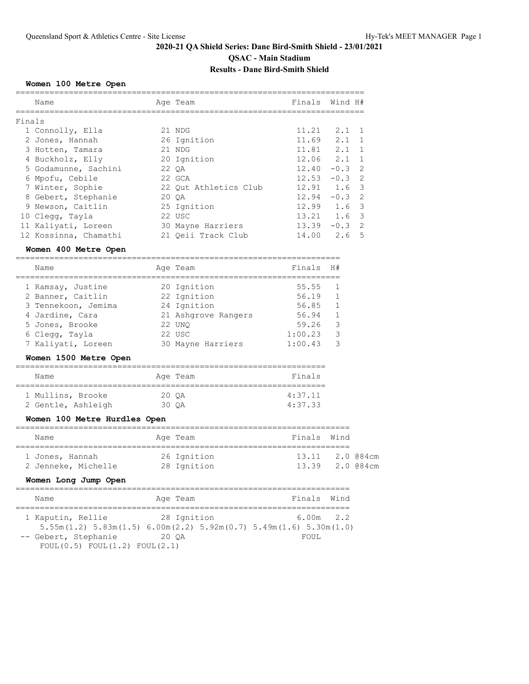#### **Women 100 Metre Open**

|        | Name                  | Age Team              | Finals Wind H#            |               |  |
|--------|-----------------------|-----------------------|---------------------------|---------------|--|
|        |                       |                       |                           |               |  |
| Finals |                       |                       |                           |               |  |
|        | 1 Connolly, Ella      | 21 NDG                | $11.21 \t2.1 \t1$         |               |  |
|        | 2 Jones, Hannah       | 26 Ignition           | 11.69                     | $2.1 \quad 1$ |  |
|        | 3 Hotten, Tamara      | 21 NDG                | 11.81                     | $2.1 \quad 1$ |  |
|        | 4 Buckholz, Elly      | 20 Ignition           | $12.06$ $2.1$ 1           |               |  |
|        | 5 Godamunne, Sachini  | 22 OA                 | $12.40 - 0.3$ 2           |               |  |
|        | 6 Mpofu, Cebile       | 22 GCA                | $12.53 - 0.3$ 2           |               |  |
|        | 7 Winter, Sophie      | 22 Out Athletics Club | $12.91 \t1.6 \t3$         |               |  |
|        | 8 Gebert, Stephanie   | 20 OA                 | 12.94                     | $-0.3$ 2      |  |
|        | 9 Newson, Caitlin     | 25 Ignition           | $12.99$ $1.6$ 3           |               |  |
|        | 10 Clegg, Tayla       | 22 USC                | $13.21 \quad 1.6 \quad 3$ |               |  |
|        | 11 Kaliyati, Loreen   | 30 Mayne Harriers     | $13.39 - 0.3$ 2           |               |  |
|        | 12 Kossinna, Chamathi | 21 Oeii Track Club    | $14.00$ $2.6$ 5           |               |  |
|        | Women 400 Metre Open  |                       |                           |               |  |
|        |                       |                       |                           |               |  |

### Name **Age Team** Age Team Finals H# =================================================================== 1 Ramsay, Justine 20 Ignition 55.55 1 2 Banner, Caitlin 22 Ignition 56.19 1 3 Tennekoon, Jemima 24 Ignition 56.85 1 4 Jardine, Cara 21 Ashgrove Rangers 56.94 1 5 Jones, Brooke 22 UNQ 59.26 3 6 Clegg, Tayla 22 USC 1:00.23 3 7 Kaliyati, Loreen 30 Mayne Harriers 1:00.43 3

#### **Women 1500 Metre Open**

| Name               |       | Age Team | Finals  |  |  |
|--------------------|-------|----------|---------|--|--|
| 1 Mullins, Brooke  | 20 OA |          | 4:37.11 |  |  |
| 2 Gentle, Ashleigh | 30 OA |          | 4:37.33 |  |  |

#### **Women 100 Metre Hurdles Open**

| Name                | Age Team |             | Finals Wind |                 |  |  |  |
|---------------------|----------|-------------|-------------|-----------------|--|--|--|
| 1 Jones, Hannah     |          | 26 Ignition |             | 13.11 2.0 @84cm |  |  |  |
| 2 Jenneke, Michelle |          | 28 Ignition |             | 13.39 2.0 @84cm |  |  |  |

#### **Women Long Jump Open**

| Name                                                                          | Age Team    |  | Finals Wind |  |
|-------------------------------------------------------------------------------|-------------|--|-------------|--|
|                                                                               |             |  |             |  |
| 1 Kaputin, Rellie                                                             | 28 Ignition |  | $6.00m$ 2.2 |  |
| $5.55m(1.2)$ $5.83m(1.5)$ $6.00m(2.2)$ $5.92m(0.7)$ $5.49m(1.6)$ $5.30m(1.0)$ |             |  |             |  |
| -- Gebert, Stephanie                                                          | 20 OA       |  | FOUL.       |  |
| FOUL(0.5) FOUL(1.2) FOUL(2.1)                                                 |             |  |             |  |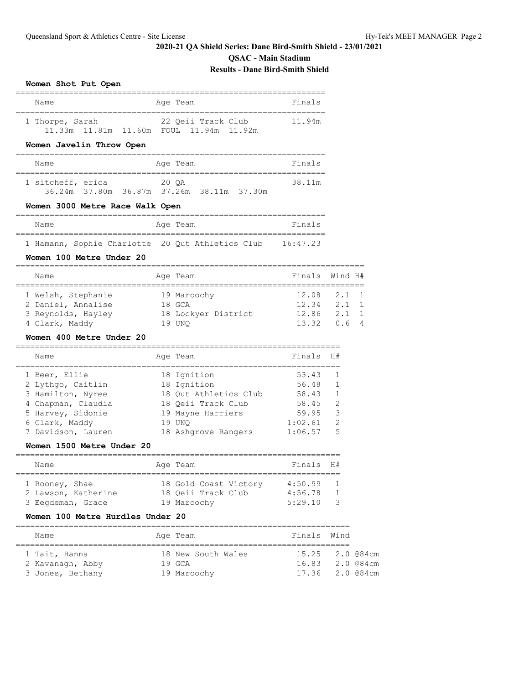**QSAC - Main Stadium**

### **Results - Dane Bird-Smith Shield**

### **Women Shot Put Open**

| Name                                                                                               | Age Team                                                             | Finals             |                                                        |
|----------------------------------------------------------------------------------------------------|----------------------------------------------------------------------|--------------------|--------------------------------------------------------|
| 1 Thorpe, Sarah<br>11.33m  11.81m  11.60m  FOUL  11.94m  11.92m                                    | 22 Qeii Track Club                                                   | 11.94m             |                                                        |
| Women Javelin Throw Open                                                                           |                                                                      |                    |                                                        |
| Name                                                                                               | Age Team                                                             | Finals             |                                                        |
| ----------------------------<br>1 sitcheff, erica<br>20 OA                                         | -----------------------<br>36.24m 37.80m 36.87m 37.26m 38.11m 37.30m | 38.11m             |                                                        |
| Women 3000 Metre Race Walk Open                                                                    |                                                                      |                    |                                                        |
| Name                                                                                               | Age Team                                                             | Finals             |                                                        |
| 1 Hamann, Sophie Charlotte 20 Qut Athletics Club 16:47.23<br>Women 100 Metre Under 20              |                                                                      |                    |                                                        |
| Name                                                                                               | Age Team                                                             | Finals             | Wind H#                                                |
| ==============<br>1 Welsh, Stephanie<br>2 Daniel, Annalise<br>3 Reynolds, Hayley<br>4 Clark, Maddy | 19 Maroochy<br>18 GCA<br>18 Lockyer District<br>19 UNO               | 12.86 2.1<br>13.32 | 12.08 2.1 1<br>$12.34$ $2.1$ 1<br>$\mathbf{1}$<br>0.64 |

### **Women 400 Metre Under 20**

| Name               | Age Team              | Finals  | H#             |
|--------------------|-----------------------|---------|----------------|
| 1 Beer, Ellie      | 18 Ignition           | 53.43   | $\mathbf{1}$   |
| 2 Lythgo, Caitlin  | 18 Ignition           | 56.48   | $\overline{1}$ |
| 3 Hamilton, Nyree  | 18 Out Athletics Club | 58.43   | $\mathbf{1}$   |
| 4 Chapman, Claudia | 18 Oeii Track Club    | 58.45   | $\mathcal{L}$  |
| 5 Harvey, Sidonie  | 19 Mayne Harriers     | 59.95   | 3              |
| 6 Clark, Maddy     | 19 UNO                | 1:02.61 | $\mathcal{L}$  |
| 7 Davidson, Lauren | 18 Ashgrove Rangers   | 1:06.57 | .5             |

#### **Women 1500 Metre Under 20**

| Name                                  | Age Team                                    | Finals H#          |                                  |
|---------------------------------------|---------------------------------------------|--------------------|----------------------------------|
| 1 Rooney, Shae<br>2 Lawson, Katherine | 18 Gold Coast Victory<br>18 Oeii Track Club | 4:50.99<br>4:56.78 | $\overline{1}$<br>$\overline{1}$ |
| 3 Eeqdeman, Grace                     | 19 Maroochy                                 | 5:29.10            | - 3                              |

#### **Women 100 Metre Hurdles Under 20**

| Name             | Age Team           | Finals Wind     |  |  |  |  |  |  |
|------------------|--------------------|-----------------|--|--|--|--|--|--|
|                  |                    |                 |  |  |  |  |  |  |
| 1 Tait, Hanna    | 18 New South Wales | 15.25 2.0 @84cm |  |  |  |  |  |  |
| 2 Kavanagh, Abby | $19$ GCA           | 16.83 2.0 @84cm |  |  |  |  |  |  |
| 3 Jones, Bethany | 19 Maroochy        | 17.36 2.0 @84cm |  |  |  |  |  |  |
|                  |                    |                 |  |  |  |  |  |  |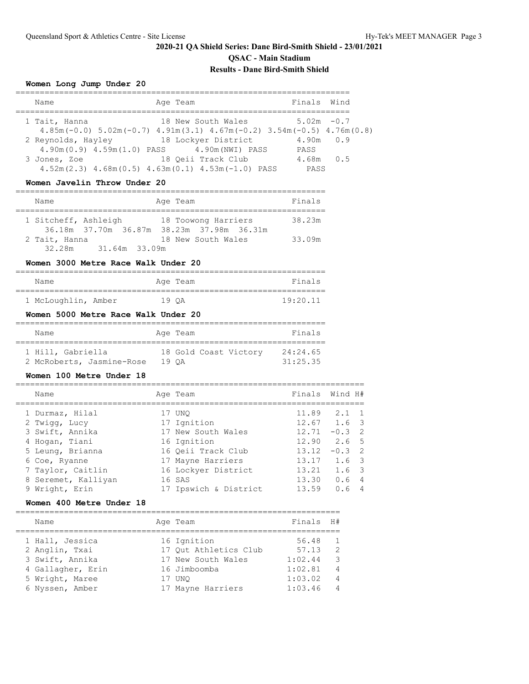#### **Women Long Jump Under 20**

| Name               | Age Team                                                                          | Finals Wind   |     |
|--------------------|-----------------------------------------------------------------------------------|---------------|-----|
|                    |                                                                                   |               |     |
| 1 Tait, Hanna      | 18 New South Wales                                                                | $5.02m - 0.7$ |     |
|                    | $4.85m(-0.0)$ $5.02m(-0.7)$ $4.91m(3.1)$ $4.67m(-0.2)$ $3.54m(-0.5)$ $4.76m(0.8)$ |               |     |
| 2 Reynolds, Hayley | 18 Lockyer District                                                               | $4.90m$ 0.9   |     |
|                    | 4.90m(0.9) 4.59m(1.0) PASS 4.90m(NWI) PASS                                        | PASS          |     |
| 3 Jones, Zoe       | 18 Oeii Track Club                                                                | 4.68m         | 0.5 |
|                    | $4.52m(2.3)$ $4.68m(0.5)$ $4.63m(0.1)$ $4.53m(-1.0)$ PASS                         | PASS          |     |

#### **Women Javelin Throw Under 20**

| Name                 |               | Age Team                                                         | Finals |
|----------------------|---------------|------------------------------------------------------------------|--------|
| 1 Sitcheff, Ashleigh |               | 18 Toowong Harriers<br>36.18m 37.70m 36.87m 38.23m 37.98m 36.31m | 38.23m |
| 2 Tait, Hanna        |               | 18 New South Wales                                               | 33.09m |
| 32.28m               | 31.64m 33.09m |                                                                  |        |

### **Women 3000 Metre Race Walk Under 20**

| Name                |       | Age Team | Finals   |
|---------------------|-------|----------|----------|
| 1 McLoughlin, Amber | 19 OA |          | 19:20.11 |

#### **Women 5000 Metre Race Walk Under 20**

| Name                      | Age Team              | Finals   |
|---------------------------|-----------------------|----------|
| 1 Hill, Gabriella         | 18 Gold Coast Victory | 24:24.65 |
| 2 McRoberts, Jasmine-Rose | 19 OA                 | 31:25.35 |

#### **Women 100 Metre Under 18**

| Name                | Age Team              |       | Finals Wind H#        |
|---------------------|-----------------------|-------|-----------------------|
| 1 Durmaz, Hilal     | 17 UNO                | 11.89 | $2.1 \quad 1$         |
| 2 Twigg, Lucy       | 17 Ignition           |       | $12.67$ 1.6 3         |
| 3 Swift, Annika     | 17 New South Wales    | 12.71 | $-0.3$ 2              |
| 4 Hogan, Tiani      | 16 Ignition           | 12.90 | 2.6 <sub>5</sub>      |
| 5 Leung, Brianna    | 16 Oeii Track Club    | 13.12 | $-0.3$ 2              |
| 6 Coe, Ryanne       | 17 Mayne Harriers     | 13.17 | $1.6-3$               |
| 7 Taylor, Caitlin   | 16 Lockyer District   | 13.21 | $1.6-3$               |
| 8 Seremet, Kalliyan | 16 SAS                | 13.30 | 0.64                  |
| 9 Wright, Erin      | 17 Ipswich & District | 13.59 | 0.6<br>$\overline{4}$ |

#### **Women 400 Metre Under 18**

| Name              | Age Team              | Finals  | H #            |
|-------------------|-----------------------|---------|----------------|
| 1 Hall, Jessica   | 16 Ignition           | 56.48   | $\overline{1}$ |
| 2 Anglin, Txai    | 17 Out Athletics Club | 57.13   | $\overline{z}$ |
| 3 Swift, Annika   | 17 New South Wales    | 1:02.44 | - 3            |
| 4 Gallagher, Erin | 16 Jimboomba          | 1:02.81 | $\overline{4}$ |
| 5 Wright, Maree   | 17 UNO                | 1:03.02 | $\overline{4}$ |
| 6 Nyssen, Amber   | 17 Mayne Harriers     | 1:03.46 | $\overline{4}$ |

===================================================================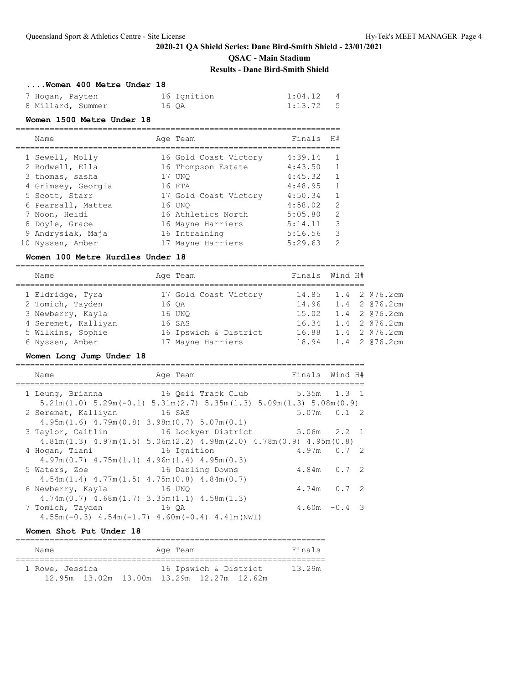# **QSAC - Main Stadium**

### **Results - Dane Bird-Smith Shield**

| Women 400 Metre Under 18 |             |                           |
|--------------------------|-------------|---------------------------|
| 7 Hogan, Payten          | 16 Ignition | 1:04.12<br>$\overline{4}$ |
| 8 Millard, Summer        | 16 OA       | $1:13.72$ 5               |

#### **Women 1500 Metre Under 18**

| Name               | Age Team              | Finals  | H#            |
|--------------------|-----------------------|---------|---------------|
| 1 Sewell, Molly    | 16 Gold Coast Victory | 4:39.14 |               |
| 2 Rodwell, Ella    | 16 Thompson Estate    | 4:43.50 |               |
| 3 thomas, sasha    | 17 UNO                | 4:45.32 |               |
| 4 Grimsey, Georgia | 16 FTA                | 4:48.95 |               |
| 5 Scott, Starr     | 17 Gold Coast Victory | 4:50.34 |               |
| 6 Pearsall, Mattea | 16 UNO                | 4:58.02 | 2             |
| 7 Noon, Heidi      | 16 Athletics North    | 5:05.80 | $\mathcal{P}$ |
| 8 Doyle, Grace     | 16 Mayne Harriers     | 5:14.11 | 3             |
| 9 Andrysiak, Maja  | 16 Intraining         | 5:16.56 | 3             |
| 10 Nyssen, Amber   | 17 Mayne Harriers     | 5:29.63 | 2             |

#### **Women 100 Metre Hurdles Under 18**

| Name                |       | Age Team              | Finals Wind H# |                        |
|---------------------|-------|-----------------------|----------------|------------------------|
| 1 Eldridge, Tyra    |       | 17 Gold Coast Victory |                | 14.85 1.4 2 @76.2cm    |
| 2 Tomich, Tayden    | 16 OA |                       |                | 14.96  1.4  2  076.2cm |
| 3 Newberry, Kayla   |       | 16 UNO                |                | 15.02  1.4  2  076.2cm |
| 4 Seremet, Kalliyan |       | 16 SAS                | 16.34          | 1.4 2 @76.2cm          |
| 5 Wilkins, Sophie   |       | 16 Ipswich & District |                | 16.88 1.4 2 @76.2cm    |
| 6 Nyssen, Amber     |       | 17 Mayne Harriers     |                | 18.94 1.4 2 @76.2cm    |

# **Women Long Jump Under 18**

| Name                                                | Age Team                                                                                               |             | Finals Wind H#  |
|-----------------------------------------------------|--------------------------------------------------------------------------------------------------------|-------------|-----------------|
| 1 Leung, Brianna                                    | 16 Qeii Track Club 5.35m 1.3 1                                                                         |             |                 |
|                                                     | $5.21$ m $(1.0)$ $5.29$ m $(-0.1)$ $5.31$ m $(2.7)$ $5.35$ m $(1.3)$ $5.09$ m $(1.3)$ $5.08$ m $(0.9)$ |             |                 |
| 2 Seremet, Kalliyan 16 SAS                          |                                                                                                        |             | $5.07m$ $0.1$ 2 |
| $4.95m(1.6)$ $4.79m(0.8)$ $3.98m(0.7)$ $5.07m(0.1)$ |                                                                                                        |             |                 |
| 3 Taylor, Caitlin                                   | 16 Lockyer District                                                                                    | 5.06m 2.2 1 |                 |
|                                                     | $4.81m(1.3)$ $4.97m(1.5)$ $5.06m(2.2)$ $4.98m(2.0)$ $4.78m(0.9)$ $4.95m(0.8)$                          |             |                 |
| 4 Hogan, Tiani                                      | 16 Ignition                                                                                            |             | $4.97m$ 0.7 2   |
| $4.97m(0.7)$ $4.75m(1.1)$ $4.96m(1.4)$ $4.95m(0.3)$ |                                                                                                        |             |                 |
| 5 Waters, Zoe                                       | 16 Darling Downs                                                                                       |             | $4.84m$ 0.7 2   |
| $4.54m(1.4)$ $4.77m(1.5)$ $4.75m(0.8)$ $4.84m(0.7)$ |                                                                                                        |             |                 |
| 6 Newberry, Kayla 16 UNQ                            |                                                                                                        |             | $4.74m$ 0.7 2   |
| $4.74m(0.7)$ $4.68m(1.7)$ $3.35m(1.1)$ $4.58m(1.3)$ |                                                                                                        |             |                 |
| 16 OA<br>7 Tomich, Tayden                           |                                                                                                        |             | $4.60m - 0.4$ 3 |
|                                                     | $4.55m(-0.3)$ $4.54m(-1.7)$ $4.60m(-0.4)$ $4.41m(NWI)$                                                 |             |                 |

### **Women Shot Put Under 18**

| Name            |  | Age Team |                       | Finals |  |
|-----------------|--|----------|-----------------------|--------|--|
| 1 Rowe, Jessica |  |          | 16 Ipswich & District | 13.29m |  |
|                 |  |          |                       |        |  |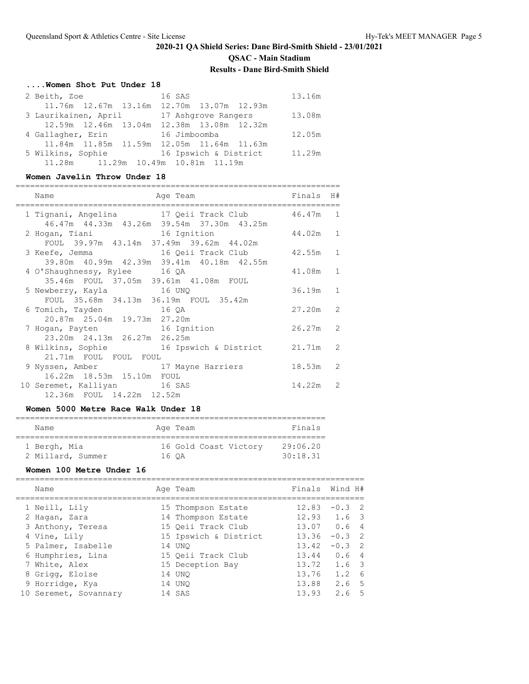# **2020-21 QA Shield Series: Dane Bird-Smith Shield - 23/01/2021 QSAC - Main Stadium**

### **Results - Dane Bird-Smith Shield**

# **....Women Shot Put Under 18**

| 2 Beith, Zoe                               | 16 SAS                | 13.16m |
|--------------------------------------------|-----------------------|--------|
| 11.76m 12.67m 13.16m 12.70m 13.07m 12.93m  |                       |        |
| 3 Laurikainen, April 17 Ashqrove Rangers   |                       | 13.08m |
| 12.59m 12.46m 13.04m 12.38m 13.08m 12.32m  |                       |        |
| 4 Gallagher, Erin                          | 16 Jimboomba          | 12.05m |
| 11.84m 11.85m 11.59m 12.05m 11.64m 11.63m  |                       |        |
| 5 Wilkins, Sophie                          | 16 Ipswich & District | 11.29m |
| 11.28m   11.29m   10.49m   10.81m   11.19m |                       |        |

### **Women Javelin Throw Under 18**

| Name<br>Age Team<br>===========================                                                 | Finals   | H#            |
|-------------------------------------------------------------------------------------------------|----------|---------------|
| 1 Tignani, Angelina 17 Qeii Track Club 46.47m<br>46.47m  44.33m  43.26m  39.54m  37.30m  43.25m |          | $\mathbf{1}$  |
| 2 Hogan, Tiani 16 Ignition<br>FOUL 39.97m 43.14m 37.49m 39.62m 44.02m                           | 44.02m 1 |               |
| 39.80m 40.99m 42.39m 39.41m 40.18m 42.55m                                                       |          | $\mathbf{1}$  |
| 4 O'Shaughnessy, Rylee 16 QA<br>35.46m FOUL 37.05m 39.61m 41.08m FOUL                           | 41.08m 1 |               |
| 5 Newberry, Kayla 16 UNQ<br>FOUL 35.68m 34.13m 36.19m FOUL 35.42m                               | 36.19m   | $\mathbf{1}$  |
| 6 Tomich, Tayden 16 QA<br>20.87m 25.04m 19.73m 27.20m                                           | 27.20m   | $\mathcal{L}$ |
| 7 Hogan, Payten 16 Ignition<br>23.20m 24.13m 26.27m 26.25m                                      | 26.27m   | 2             |
| 8 Wilkins, Sophie 36 16 Ipswich & District 21.71m 2<br>21.71m FOUL FOUL FOUL                    |          |               |
| 9 Nyssen, Amber 17 Mayne Harriers<br>16.22m  18.53m  15.10m  FOUL                               | 18.53m   | $\mathcal{L}$ |
| 10 Seremet, Kalliyan 16 SAS<br>12.36m FOUL 14.22m 12.52m                                        | 14.22m   | $\mathcal{L}$ |

### **Women 5000 Metre Race Walk Under 18**

| Name                              |       | Age Team              | Finals               |
|-----------------------------------|-------|-----------------------|----------------------|
| 1 Bergh, Mia<br>2 Millard, Summer | 16 OA | 16 Gold Coast Victory | 29:06.20<br>30:18.31 |

#### **Women 100 Metre Under 16**

|  | Name                  | Age Team              | Finals Wind H#  |                  |  |
|--|-----------------------|-----------------------|-----------------|------------------|--|
|  | 1 Neill, Lily         | 15 Thompson Estate    | 12.83           | $-0.3$ 2         |  |
|  | 2 Haqan, Zara         | 14 Thompson Estate    | $12.93$ $1.6$ 3 |                  |  |
|  | 3 Anthony, Teresa     | 15 Oeii Track Club    | 13.07           | 0.64             |  |
|  | 4 Vine, Lily          | 15 Ipswich & District | 13.36           | $-0.3$ 2         |  |
|  | 5 Palmer, Isabelle    | 14 UNO                | 13.42           | $-0.3$ 2         |  |
|  | 6 Humphries, Lina     | 15 Oeii Track Club    | 13.44           | 0.64             |  |
|  | 7 White, Alex         | 15 Deception Bay      | 13.72           | 1.6 3            |  |
|  | 8 Grigg, Eloise       | 14 UNO                | 13.76           | $1.2 \quad 6$    |  |
|  | 9 Horridge, Kya       | 14 UNO                | 13.88           | 2.6 <sub>5</sub> |  |
|  | 10 Seremet, Sovannary | 14 SAS                | 13.93           | 2.6 <sub>5</sub> |  |
|  |                       |                       |                 |                  |  |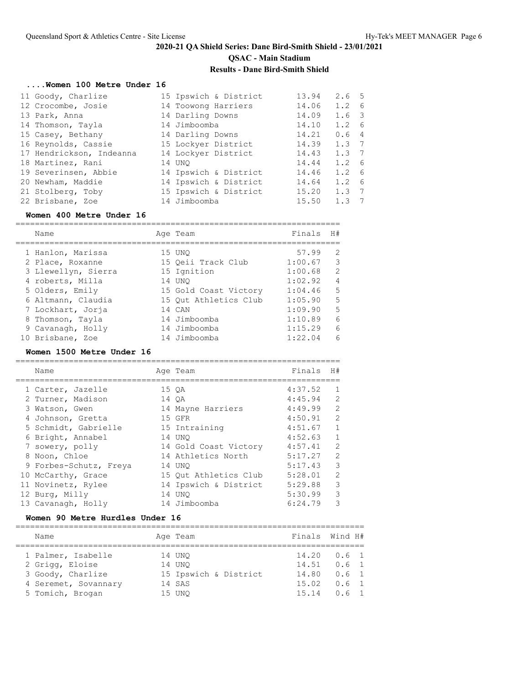# **....Women 100 Metre Under 16**

| 11 Goody, Charlize       | 15 Ipswich & District | 13.94 | 2.6 <sub>5</sub>      |
|--------------------------|-----------------------|-------|-----------------------|
| 12 Crocombe, Josie       | 14 Toowong Harriers   | 14.06 | $1.2 \quad 6$         |
| 13 Park, Anna            | 14 Darling Downs      | 14.09 | 1.6 3                 |
| 14 Thomson, Tayla        | 14 Jimboomba          | 14.10 | $1.2 \quad 6$         |
| 15 Casey, Bethany        | 14 Darling Downs      | 14.21 | 0.64                  |
| 16 Reynolds, Cassie      | 15 Lockyer District   | 14.39 | $1.3 \quad 7$         |
| 17 Hendrickson, Indeanna | 14 Lockyer District   | 14.43 | $1.3 \t7$             |
| 18 Martinez, Rani        | 14 UNO                | 14.44 | $1.2 \quad 6$         |
| 19 Severinsen, Abbie     | 14 Ipswich & District | 14.46 | $1.2 \quad 6$         |
| 20 Newham, Maddie        | 14 Ipswich & District | 14.64 | $1.2 \quad 6$         |
| 21 Stolberg, Toby        | 15 Ipswich & District | 15.20 | 1.3<br>$\overline{7}$ |
| 22 Brisbane, Zoe         | 14 Jimboomba          | 15.50 | 1.3<br>$\overline{7}$ |

### **Women 400 Metre Under 16**

| Name                | Age Team              | Finals  | H#             |
|---------------------|-----------------------|---------|----------------|
| 1 Hanlon, Marissa   | 15 UNO                | 57.99   | 2              |
| 2 Place, Roxanne    | 15 Oeii Track Club    | 1:00.67 | 3              |
| 3 Llewellyn, Sierra | 15 Ignition           | 1:00.68 | $\mathcal{L}$  |
| 4 roberts, Milla    | 14 UNO                | 1:02.92 | $\overline{4}$ |
| 5 Olders, Emily     | 15 Gold Coast Victory | 1:04.46 | 5              |
| 6 Altmann, Claudia  | 15 Out Athletics Club | 1:05.90 | 5              |
| 7 Lockhart, Jorja   | 14 CAN                | 1:09.90 | .5             |
| 8 Thomson, Tayla    | 14 Jimboomba          | 1:10.89 | 6              |
| 9 Cavanagh, Holly   | 14 Jimboomba          | 1:15.29 | 6              |
| 10 Brisbane, Zoe    | 14 Jimboomba          | 1:22.04 | 6              |

# **Women 1500 Metre Under 16**

| Name                   | Age Team              | Finals  | H#            |
|------------------------|-----------------------|---------|---------------|
|                        |                       |         |               |
| 1 Carter, Jazelle      | 15 OA                 | 4:37.52 |               |
| 2 Turner, Madison      | 14 OA                 | 4:45.94 | $\mathcal{L}$ |
| 3 Watson, Gwen         | 14 Mayne Harriers     | 4:49.99 | $\mathcal{L}$ |
| 4 Johnson, Gretta      | 15 GFR                | 4:50.91 | $\mathcal{L}$ |
| 5 Schmidt, Gabrielle   | 15 Intraining         | 4:51.67 | 1             |
| 6 Bright, Annabel      | 14 UNO                | 4:52.63 |               |
| 7 sowery, polly        | 14 Gold Coast Victory | 4:57.41 | $\mathcal{L}$ |
| 8 Noon, Chloe          | 14 Athletics North    | 5:17.27 | $\mathcal{L}$ |
| 9 Forbes-Schutz, Freya | 14 UNO                | 5:17.43 | 3             |
| 10 McCarthy, Grace     | 15 Out Athletics Club | 5:28.01 | $\mathcal{P}$ |
| 11 Novinetz, Rylee     | 14 Ipswich & District | 5:29.88 | 3             |
| 12 Burg, Milly         | 14 UNO                | 5:30.99 | 3             |
| 13 Cavanagh, Holly     | 14 Jimboomba          | 6:24.79 | ς             |

### **Women 90 Metre Hurdles Under 16**

| Name                                                       | Age Team                                  |                | Finals Wind H#                                                   |
|------------------------------------------------------------|-------------------------------------------|----------------|------------------------------------------------------------------|
| 1 Palmer, Isabelle<br>2 Grigg, Eloise<br>3 Goody, Charlize | 14 UNO<br>14 UNO<br>15 Ipswich & District | 14.51<br>15.02 | $14.20 \t 0.61$<br>$0.6 \quad 1$<br>$14.80 \t 0.6 \t 1$<br>0.6 1 |
| 4 Seremet, Sovannary<br>5 Tomich, Brogan                   | 14 SAS<br>15 UNO                          | 15.14          | $0.6-1$                                                          |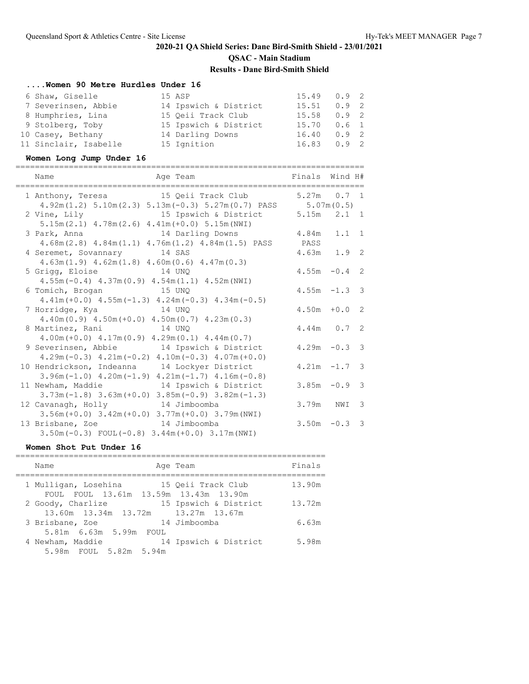# **....Women 90 Metre Hurdles Under 16**

| 6 Shaw, Giselle       | 15 ASP                | $15.49$ 0.9 2   |               |  |
|-----------------------|-----------------------|-----------------|---------------|--|
| 7 Severinsen, Abbie   | 14 Ipswich & District | 15.51           | $0.9 \quad 2$ |  |
| 8 Humphries, Lina     | 15 Oeii Track Club    | $15.58$ 0.9 2   |               |  |
| 9 Stolberg, Toby      | 15 Ipswich & District | 15.70 0.6 1     |               |  |
| 10 Casey, Bethany     | 14 Darling Downs      | $16.40 \t 0.92$ |               |  |
| 11 Sinclair, Isabelle | 15 Ignition           | 16.83           | 0.92          |  |

# **Women Long Jump Under 16**

| Name<br>Age Team<br>==================================      | Finals Wind H#<br>------------------------------- |                 |                         |
|-------------------------------------------------------------|---------------------------------------------------|-----------------|-------------------------|
| 1 Anthony, Teresa 15 Qeii Track Club                        |                                                   | $5.27m$ $0.7$ 1 |                         |
| $4.92m(1.2) 5.10m(2.3) 5.13m(-0.3) 5.27m(0.7) PASS$         |                                                   | 5.07m(0.5)      |                         |
| 15 Ipswich & District<br>2 Vine, Lily                       |                                                   | $5.15m$ $2.1$ 1 |                         |
| $5.15m(2.1)$ $4.78m(2.6)$ $4.41m(+0.0)$ $5.15m(NWI)$        |                                                   |                 |                         |
| 14 Darling Downs<br>3 Park, Anna                            | 4.84m                                             | $1.1 \quad 1$   |                         |
| $4.68m(2.8)$ $4.84m(1.1)$ $4.76m(1.2)$ $4.84m(1.5)$ PASS    | PASS                                              |                 |                         |
| 4 Seremet, Sovannary 14 SAS                                 |                                                   | $4.63m$ $1.9$ 2 |                         |
| $4.63m(1.9)$ $4.62m(1.8)$ $4.60m(0.6)$ $4.47m(0.3)$         |                                                   |                 |                         |
| 14 UNO<br>5 Grigg, Eloise                                   |                                                   | $4.55m - 0.4$ 2 |                         |
| $4.55m(-0.4)$ $4.37m(0.9)$ $4.54m(1.1)$ $4.52m(NWI)$        |                                                   |                 |                         |
| and the 15 UNO<br>6 Tomich, Brogan                          |                                                   | $4.55m - 1.3$ 3 |                         |
| $4.41m (+0.0)$ $4.55m (-1.3)$ $4.24m (-0.3)$ $4.34m (-0.5)$ |                                                   |                 |                         |
| 7 Horridge, Kya 14 UNQ                                      |                                                   | $4.50m + 0.02$  |                         |
| $4.40m(0.9)$ $4.50m(+0.0)$ $4.50m(0.7)$ $4.23m(0.3)$        |                                                   |                 |                         |
| 8 Martinez, Rani 14 UNQ                                     |                                                   | $4.44m$ 0.7 2   |                         |
| $4.00m (+0.0)$ $4.17m(0.9)$ $4.29m(0.1)$ $4.44m(0.7)$       |                                                   |                 |                         |
| 9 Severinsen, Abbie 14 Ipswich & District                   |                                                   | $4.29m -0.3$ 3  |                         |
| $4.29m(-0.3)$ $4.21m(-0.2)$ $4.10m(-0.3)$ $4.07m(+0.0)$     |                                                   |                 |                         |
| 10 Hendrickson, Indeanna 14 Lockyer District                |                                                   | $4.21m - 1.7$   | $\overline{\mathbf{3}}$ |
| $3.96m(-1.0)$ $4.20m(-1.9)$ $4.21m(-1.7)$ $4.16m(-0.8)$     |                                                   |                 |                         |
| 14 Ipswich & District<br>11 Newham, Maddie                  |                                                   | $3.85m - 0.9$   | 3                       |
| $3.73m(-1.8)$ $3.63m(+0.0)$ $3.85m(-0.9)$ $3.82m(-1.3)$     |                                                   |                 |                         |
| 12 Cavanagh, Holly 14 Jimboomba                             | 3.79m                                             | NWI             | 3                       |
| $3.56m (+0.0)$ $3.42m (+0.0)$ $3.77m (+0.0)$ $3.79m (NWI)$  |                                                   |                 |                         |
| 13 Brisbane, Zoe 14 Jimboomba                               |                                                   | $3.50m - 0.3$   | $\mathbf{3}$            |
|                                                             |                                                   |                 |                         |
| $3.50m(-0.3)$ FOUL $(-0.8)$ $3.44m(+0.0)$ $3.17m(NWI)$      |                                                   |                 |                         |

### **Women Shot Put Under 16**

| Name                                                          | Age Team              | Finals |
|---------------------------------------------------------------|-----------------------|--------|
| 1 Mulligan, Losehina<br>FOUL FOUL 13.61m 13.59m 13.43m 13.90m | 15 Oeii Track Club    | 13.90m |
| 2 Goody, Charlize<br>13.60m 13.34m 13.72m 13.27m 13.67m       | 15 Ipswich & District | 13.72m |
| 3 Brisbane, Zoe<br>5.81m 6.63m 5.99m FOUL                     | 14 Jimboomba          | 6.63m  |
| 4 Newham, Maddie<br>5.98m FOUL 5.82m 5.94m                    | 14 Ipswich & District | 5.98m  |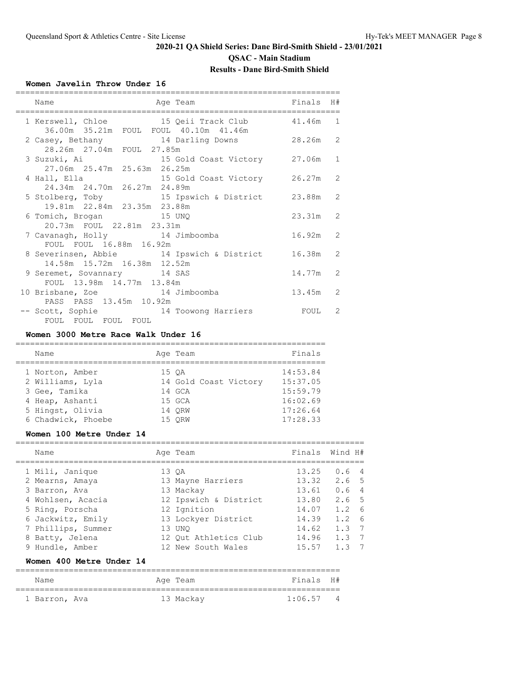# **QSAC - Main Stadium**

# **Results - Dane Bird-Smith Shield**

### **Women Javelin Throw Under 16**

| Name<br>Age Team                                                                                       | Finals H#                      |               |
|--------------------------------------------------------------------------------------------------------|--------------------------------|---------------|
| 1 Kerswell, Chloe 15 Qeii Track Club 41.46m 1<br>36.00m 35.21m FOUL FOUL 40.10m 41.46m                 |                                |               |
| 2 Casey, Bethany 14 Darling Downs 28.26m 2<br>28.26m 27.04m FOUL 27.85m                                |                                |               |
| 3 Suzuki, Ai                       15 Gold Coast Victory         27.06m<br>27.06m 25.47m 25.63m 26.25m |                                | $\mathbf{1}$  |
| 4 Hall, Ella<br>24.34m 24.70m 26.27m 24.89m                                                            | 15 Gold Coast Victory 26.27m 2 |               |
| 5 Stolberg, Toby 15 Ipswich & District 23.88m 2<br>19.81m 22.84m 23.35m 23.88m                         |                                |               |
| 6 Tomich, Brogan 15 UNQ                                                                                | $23.31m$ 2                     |               |
| 20.73m FOUL 22.81m 23.31m<br>7 Cavanagh, Holly 14 Jimboomba                                            | $16.92m$ 2                     |               |
| FOUL FOUL 16.88m 16.92m<br>8 Severinsen, Abbie 14 Ipswich & District 16.38m 2                          |                                |               |
| 14.58m 15.72m 16.38m 12.52m<br>9 Seremet, Sovannary 14 SAS                                             | 14.77m 2                       |               |
| FOUL 13.98m 14.77m 13.84m<br>10 Brisbane, Zoe 14 Jimboomba                                             | 13.45m                         | $\mathcal{L}$ |
| PASS PASS 13.45m 10.92m<br>-- Scott, Sophie 34 Toowong Harriers 500L<br>FOUL FOUL FOUL FOUL            |                                | $\mathcal{L}$ |

#### **Women 3000 Metre Race Walk Under 16**

| Name               |  | Age Team              | Finals   |
|--------------------|--|-----------------------|----------|
| 1 Norton, Amber    |  | 15 OA                 | 14:53.84 |
| 2 Williams, Lyla   |  | 14 Gold Coast Victory | 15:37.05 |
| 3 Gee, Tamika      |  | 14 GCA                | 15:59.79 |
| 4 Heap, Ashanti    |  | 15 GCA                | 16:02.69 |
| 5 Hingst, Olivia   |  | 14 ORW                | 17:26.64 |
| 6 Chadwick, Phoebe |  | 15 ORW                | 17:28.33 |

#### **Women 100 Metre Under 14**

|   | Name               | Age Team              | Finals Wind H# |                  |     |
|---|--------------------|-----------------------|----------------|------------------|-----|
|   | 1 Mili, Janique    | 13 OA                 | 13.25          | 0.64             |     |
|   | 2 Mearns, Amaya    | 13 Mayne Harriers     | 13.32          | 2.6 <sub>5</sub> |     |
|   | 3 Barron, Ava      | 13 Mackay             | 13.61          | 0.64             |     |
|   | 4 Wohlsen, Acacia  | 12 Ipswich & District | 13.80          | 2.6 <sub>5</sub> |     |
|   | 5 Ring, Porscha    | 12 Ignition           | 14.07          | 1.2              | - 6 |
|   | 6 Jackwitz, Emily  | 13 Lockyer District   | 14.39          | 1.2              | - 6 |
|   | 7 Phillips, Summer | 13 UNO                | 14.62          | 1.3              | 7   |
| 8 | Batty, Jelena      | 12 Out Athletics Club | 14.96          | 1.3              | - 7 |
|   | 9 Hundle, Amber    | 12 New South Wales    | 15.57          | 1.3              |     |

### **Women 400 Metre Under 14**

| Name          | Age Team  | Finals H#   |  |
|---------------|-----------|-------------|--|
| 1 Barron, Ava | 13 Mackay | $1:06.57$ 4 |  |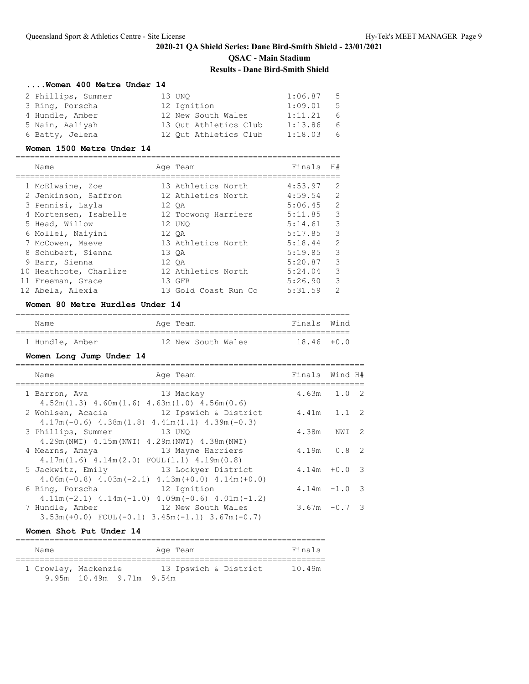### **....Women 400 Metre Under 14**

| 2 Phillips, Summer | 13 UNO                | 1:06.87 | $-5$ |
|--------------------|-----------------------|---------|------|
| 3 Ring, Porscha    | 12 Ignition           | 1:09.01 | - 5  |
| 4 Hundle, Amber    | 12 New South Wales    | 1:11.21 | - 6  |
| 5 Nain, Aaliyah    | 13 Out Athletics Club | 1:13.86 | - 6  |
| 6 Batty, Jelena    | 12 Out Athletics Club | 1:18.03 | - 6  |

#### **Women 1500 Metre Under 14**

| Name                   |       | Age Team             | Finals  | H# |
|------------------------|-------|----------------------|---------|----|
|                        |       |                      |         |    |
| 1 McElwaine, Zoe       |       | 13 Athletics North   | 4:53.97 | 2  |
| 2 Jenkinson, Saffron   |       | 12 Athletics North   | 4:59.54 | 2  |
| 3 Pennisi, Layla       |       | 12 OA                | 5:06.45 | 2  |
| 4 Mortensen, Isabelle  |       | 12 Toowong Harriers  | 5:11.85 | 3  |
| 5 Head, Willow         |       | 12 UNO               | 5:14.61 | 3  |
| 6 Mollel, Naiyini      |       | 12 OA                | 5:17.85 | 3  |
| 7 McCowen, Maeve       |       | 13 Athletics North   | 5:18.44 | 2  |
| 8 Schubert, Sienna     |       | 13 OA                | 5:19.85 | 3  |
| 9 Barr, Sienna         | 12 OA |                      | 5:20.87 | 3  |
| 10 Heathcote, Charlize |       | 12 Athletics North   | 5:24.04 | 3  |
| 11 Freeman, Grace      |       | 13 GFR               | 5:26.90 | 3  |
| 12 Abela, Alexia       |       | 13 Gold Coast Run Co | 5:31.59 | 2  |
|                        |       |                      |         |    |

# **Women 80 Metre Hurdles Under 14**

| Name            |  | Age Team |                    |  | Finals Wind   |
|-----------------|--|----------|--------------------|--|---------------|
|                 |  |          |                    |  |               |
| 1 Hundle, Amber |  |          | 12 New South Wales |  | $18.46 + 0.0$ |

# **Women Long Jump Under 14**

| Name                                                                                 | Age Team              | Finals Wind H#  |       |  |
|--------------------------------------------------------------------------------------|-----------------------|-----------------|-------|--|
| 1 Barron, Ava<br>$4.52m(1.3)$ $4.60m(1.6)$ $4.63m(1.0)$ $4.56m(0.6)$                 | 13 Mackay             | $4.63m$ $1.0$ 2 |       |  |
| 2 Wohlsen, Acacia<br>$4.17m(-0.6)$ $4.38m(1.8)$ $4.41m(1.1)$ $4.39m(-0.3)$           | 12 Ipswich & District | $4.41m$ $1.1$ 2 |       |  |
| 3 Phillips, Summer<br>4.29m (NWI) 4.15m (NWI) 4.29m (NWI) 4.38m (NWI)                | 13 UNO                | 4.38m           | NWI 2 |  |
| 4 Mearns, Amaya<br>$4.17m(1.6)$ $4.14m(2.0)$ FOUL $(1.1)$ $4.19m(0.8)$               | 13 Mayne Harriers     | $4.19m$ 0.8 2   |       |  |
| 5 Jackwitz, Emily<br>$4.06$ m (-0.8) $4.03$ m (-2.1) $4.13$ m (+0.0) $4.14$ m (+0.0) | 13 Lockyer District   | $4.14m + 0.03$  |       |  |
| 6 Ring, Porscha<br>$4.11m(-2.1)$ $4.14m(-1.0)$ $4.09m(-0.6)$ $4.01m(-1.2)$           | 12 Ignition           | $4.14m - 1.0$ 3 |       |  |
| 7 Hundle, Amber<br>$3.53m (+0.0)$ FOUL $(-0.1)$ $3.45m (-1.1)$ $3.67m (-0.7)$        | 12 New South Wales    | $3.67m - 0.73$  |       |  |

#### **Women Shot Put Under 14**

| Name |                          | Age Team              | Finals |
|------|--------------------------|-----------------------|--------|
|      | 1 Crowley, Mackenzie     | 13 Ipswich & District | 10.49m |
|      | 9.95m 10.49m 9.71m 9.54m |                       |        |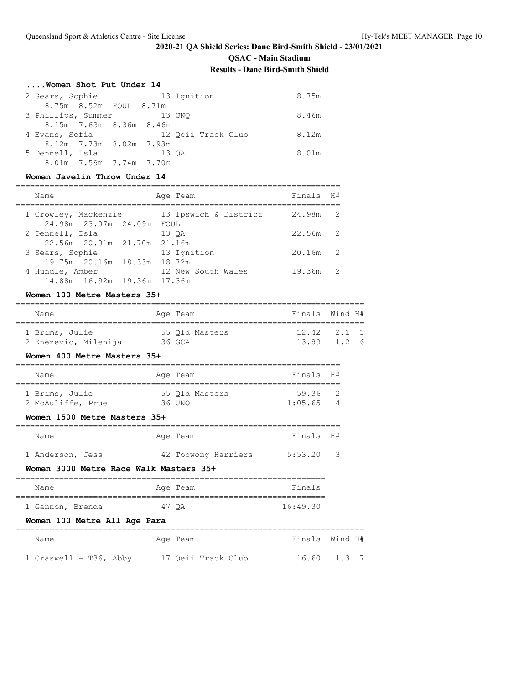**QSAC - Main Stadium**

### **Results - Dane Bird-Smith Shield**

# **....Women Shot Put Under 14**

| 2 Sears, Sophie           |                         |       | 13 Ignition        | 8.75m |
|---------------------------|-------------------------|-------|--------------------|-------|
|                           | 8.75m 8.52m FOUL 8.71m  |       |                    |       |
| 3 Phillips, Summer 13 UNQ |                         |       |                    | 8.46m |
|                           | 8.15m 7.63m 8.36m 8.46m |       |                    |       |
| 4 Evans, Sofia            |                         |       | 12 Oeii Track Club | 8.12m |
|                           | 8.12m 7.73m 8.02m 7.93m |       |                    |       |
| 5 Dennell, Isla           |                         | 13 OA |                    | 8.01m |
|                           | 8.01m 7.59m 7.74m 7.70m |       |                    |       |

# **Women Javelin Throw Under 14**

| Name<br>Age Team                                                     | Finals H#                |
|----------------------------------------------------------------------|--------------------------|
| 13 Ipswich & District<br>1 Crowley, Mackenzie                        | 24.98m<br>$\overline{2}$ |
| 24.98m 23.07m 24.09m<br>FOUL<br>2 Dennell, Isla<br>13 OA             | $22.56m$ 2               |
| 22.56m 20.01m 21.70m 21.16m<br>13 Ignition<br>3 Sears, Sophie        | 20.16m<br>$\overline{2}$ |
| 19.75m 20.16m 18.33m 18.72m<br>12 New South Wales<br>4 Hundle, Amber | 19.36m<br>$\overline{2}$ |

### **Women 100 Metre Masters 35+**

| Name                 | Age Team       | Finals Wind H#    |
|----------------------|----------------|-------------------|
| 1 Brims, Julie       | 55 Old Masters | $12.42 \t2.1 \t1$ |
| 2 Knezevic, Milenija | 36 GCA         | 13.89 1.2 6       |

### **Women 400 Metre Masters 35+**

| Name |                                     |  | Finals H#                            |         |  |  |  |  |  |  |
|------|-------------------------------------|--|--------------------------------------|---------|--|--|--|--|--|--|
|      |                                     |  |                                      |         |  |  |  |  |  |  |
|      |                                     |  | 59.36                                |         |  |  |  |  |  |  |
|      |                                     |  |                                      | -4      |  |  |  |  |  |  |
|      | 1 Brims, Julie<br>2 McAuliffe, Prue |  | Age Team<br>55 Old Masters<br>36 UNO | 1:05.65 |  |  |  |  |  |  |

### **Women 1500 Metre Masters 35+**

| Name             |  | Age Team            | Finals H# |     |
|------------------|--|---------------------|-----------|-----|
| 1 Anderson, Jess |  | 42 Toowong Harriers | 5:53.20   | - 3 |

#### **Women 3000 Metre Race Walk Masters 35+**

| Name             |       | Age Team | Finals   |
|------------------|-------|----------|----------|
|                  |       |          |          |
| 1 Gannon, Brenda | 47 OA |          | 16:49.30 |

### **Women 100 Metre All Age Para**

| Name                   | Age Team |                    |  | Finals Wind H# |  |
|------------------------|----------|--------------------|--|----------------|--|
|                        |          |                    |  |                |  |
| 1 Craswell - T36, Abby |          | 17 Oeii Track Club |  | 16.60 1.3 7    |  |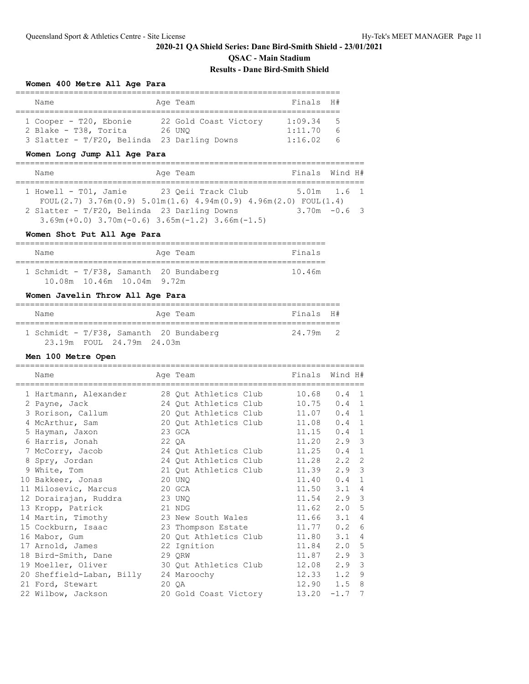# **2020-21 QA Shield Series: Dane Bird-Smith Shield - 23/01/2021 QSAC - Main Stadium**

# **Results - Dane Bird-Smith Shield**

===================================================================

#### **Women 400 Metre All Age Para**

| Name                   |  | Finals H#                                                                                  |                 |
|------------------------|--|--------------------------------------------------------------------------------------------|-----------------|
|                        |  |                                                                                            |                 |
| 1 Cooper - T20, Ebonie |  | 1:09.34                                                                                    | - 5             |
| 2 Blake - T38, Torita  |  | 1:11.70                                                                                    | $6\overline{6}$ |
|                        |  | 1:16.02                                                                                    | 6               |
|                        |  | Age Team<br>22 Gold Coast Victory<br>26 UNO<br>3 Slatter - T/F20, Belinda 23 Darling Downs |                 |

# **Women Long Jump All Age Para**

| Name                                                                    | Age Team           | Finals Wind H#  |
|-------------------------------------------------------------------------|--------------------|-----------------|
|                                                                         |                    |                 |
| $1$ Howell - T01, Jamie                                                 | 23 Oeii Track Club | $5.01m$ $1.6$ 1 |
| FOUL(2.7) $3.76m(0.9)$ $5.01m(1.6)$ $4.94m(0.9)$ $4.96m(2.0)$ FOUL(1.4) |                    |                 |
| 2 Slatter - T/F20, Belinda 23 Darling Downs                             |                    | $3.70m - 0.63$  |
| $3.69$ m (+0.0) $3.70$ m (-0.6) $3.65$ m (-1.2) $3.66$ m (-1.5)         |                    |                 |

#### **Women Shot Put All Age Para**

| Name                                    |  |                               |  | Aqe Team |  | Finals |  |  |  |
|-----------------------------------------|--|-------------------------------|--|----------|--|--------|--|--|--|
| 1 Schmidt - T/F38, Samanth 20 Bundaberg |  |                               |  |          |  | 10.46m |  |  |  |
|                                         |  | 10.08m  10.46m  10.04m  9.72m |  |          |  |        |  |  |  |

#### **Women Javelin Throw All Age Para**

| Name |                                         | Age Team | Finals H# |  |
|------|-----------------------------------------|----------|-----------|--|
|      | 1 Schmidt - T/F38, Samanth 20 Bundaberg |          | 24.79m 2  |  |
|      | 23.19m FOUL 24.79m 24.03m               |          |           |  |

# **Men 100 Metre Open**

| Name                                  | Age Team              | Finals | Wind H# |                |
|---------------------------------------|-----------------------|--------|---------|----------------|
| 1 Hartmann, Alexander                 | 28 Qut Athletics Club | 10.68  | 0.4     | - 1            |
| 2 Payne, Jack                         | 24 Out Athletics Club | 10.75  | 0.4     | 1              |
| 3 Rorison, Callum                     | 20 Qut Athletics Club | 11.07  | 0.4     | 1              |
| 4 McArthur, Sam                       | 20 Qut Athletics Club | 11.08  | 0.4     | 1              |
| 5 Hayman, Jaxon                       | 23 GCA                | 11.15  | 0.4     | $\mathbf{1}$   |
| 6 Harris, Jonah                       | 22 QA                 | 11.20  | 2.9     | $\mathbf{3}$   |
| 7 McCorry, Jacob                      | 24 Qut Athletics Club | 11.25  | 0.4     | $\mathbf{1}$   |
| 8 Spry, Jordan                        | 24 Qut Athletics Club | 11.28  | 2.2     | 2              |
| 9 White, Tom                          | 21 Qut Athletics Club | 11.39  | 2.9     | 3              |
| 10 Bakkeer, Jonas                     | 20 UNO                | 11.40  | 0.4     | 1              |
| 11 Milosevic, Marcus                  | 20 GCA                | 11.50  | 3.1     | $\overline{4}$ |
| 12 Dorairajan, Ruddra                 | 23 UNO                | 11.54  | $2.9$ 3 |                |
| 13 Kropp, Patrick                     | 21 NDG                | 11.62  | 2.0     | 5              |
| 14 Martin, Timothy                    | 23 New South Wales    | 11.66  | 3.1     | $\overline{4}$ |
| 15 Cockburn, Isaac                    | 23 Thompson Estate    | 11.77  | 0.2     | 6              |
| 16 Mabor, Gum                         | 20 Qut Athletics Club | 11.80  | 3.1     | $\overline{4}$ |
| 17 Arnold, James                      | 22 Ignition           | 11.84  | 2.0     | 5              |
| 18 Bird-Smith, Dane                   | 29 ORW                | 11.87  | 2.9     | $\mathbf{3}$   |
| 19 Moeller, Oliver                    | 30 Qut Athletics Club | 12.08  | 2.9     | 3              |
| 20 Sheffield-Laban, Billy 24 Maroochy |                       | 12.33  | 1.2     | 9              |
| 21 Ford, Stewart                      | 20 OA                 | 12.90  | 1.5     | 8              |
| 22 Wilbow, Jackson                    | 20 Gold Coast Victory | 13.20  | $-1.7$  | 7              |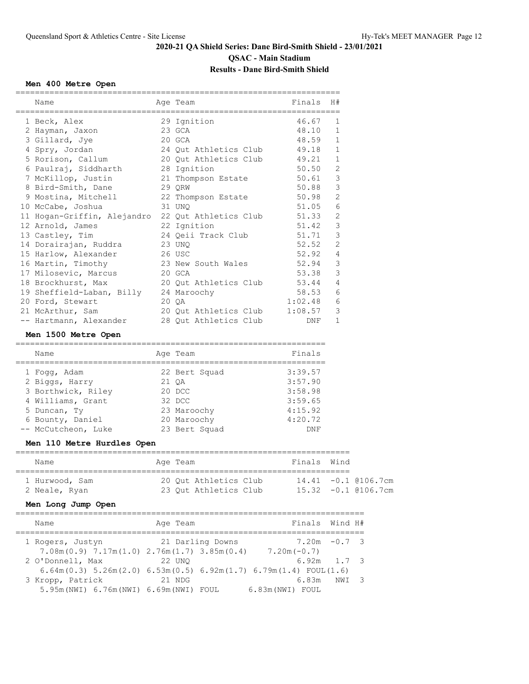# **2020-21 QA Shield Series: Dane Bird-Smith Shield - 23/01/2021 QSAC - Main Stadium**

### **Results - Dane Bird-Smith Shield**

#### **Men 400 Metre Open**

| Name                                              |         | Age Team                                  | Finals  | H#             |
|---------------------------------------------------|---------|-------------------------------------------|---------|----------------|
| 1 Beck, Alex                                      |         | 29 Ignition                               | 46.67   | 1              |
| 2 Hayman, Jaxon                                   |         | 23 GCA                                    | 48.10   | $\mathbf{1}$   |
| 3 Gillard, Jye                                    | 20 GCA  |                                           | 48.59   | $\mathbf{1}$   |
| 4 Spry, Jordan                                    |         | 24 Qut Athletics Club                     | 49.18   | $\mathbf 1$    |
| 5 Rorison, Callum                                 |         | 20 Qut Athletics Club                     | 49.21   | $\,1\,$        |
| 6 Paulraj, Siddharth                              |         | 28 Ignition                               | 50.50   | $\sqrt{2}$     |
| 7 McKillop, Justin                                |         | 21 Thompson Estate                        | 50.61   | $\mathcal{S}$  |
| 8 Bird-Smith, Dane                                |         | 29 ORW                                    | 50.88   | $\mathfrak{Z}$ |
| 9 Mostina, Mitchell 22 Thompson Estate            |         |                                           | 50.98   | $\overline{c}$ |
| 10 McCabe, Joshua<br>31 UNO                       |         |                                           | 51.05   | $\epsilon$     |
| 11 Hogan-Griffin, Alejandro 22 Qut Athletics Club |         |                                           | 51.33   | $\mathbf{2}$   |
| 12 Arnold, James                                  |         | 22 Ignition                               | 51.42   | 3              |
| 13 Castley, Tim                                   |         | 24 Qeii Track Club                        | 51.71   | $\mathfrak{Z}$ |
| 14 Dorairajan, Ruddra<br>23 UNO                   |         |                                           | 52.52   | $\sqrt{2}$     |
| 15 Harlow, Alexander                              | 26 USC  |                                           | 52.92   | 4              |
| 16 Martin, Timothy                                |         | 23 New South Wales                        | 52.94   | 3              |
| 17 Milosevic, Marcus                              | 20 GCA  |                                           | 53.38   | 3              |
| 18 Brockhurst, Max                                |         | 20 Qut Athletics Club 53.44               |         | $\overline{4}$ |
| 19 Sheffield-Laban, Billy 24 Maroochy             |         |                                           | 58.53   | $\epsilon$     |
| 20 Ford, Stewart                                  | $20$ QA |                                           | 1:02.48 | 6              |
| 21 McArthur, Sam                                  |         | 20 Out Athletics Club                     | 1:08.57 | 3              |
| -- Hartmann, Alexander                            |         | 28 Out Athletics Club                     | DNF     | $\mathbf{1}$   |
| Men 1500 Metre Open                               |         |                                           |         |                |
| Name                                              |         | Age Team                                  | Finals  |                |
| =================================<br>1 Fogg, Adam |         | ;=======================<br>22 Bert Squad | 3:39.57 |                |

===================================================================

| T TOUGH LOCUL       | LL DULL DUUUU | <u>.</u> |
|---------------------|---------------|----------|
| 2 Biggs, Harry      | 21 OA         | 3:57.90  |
| 3 Borthwick, Riley  | 20 DCC        | 3:58.98  |
| 4 Williams, Grant   | 32 DCC        | 3:59.65  |
| 5 Duncan, Ty        | 23 Maroochy   | 4:15.92  |
| 6 Bounty, Daniel    | 20 Maroochy   | 4:20.72  |
| -- McCutcheon, Luke | 23 Bert Squad | DNF      |
|                     |               |          |

# **Men 110 Metre Hurdles Open**

| Name                            | Age Team                                       | Finals Wind                                |  |  |  |  |  |  |  |
|---------------------------------|------------------------------------------------|--------------------------------------------|--|--|--|--|--|--|--|
| 1 Hurwood, Sam<br>2 Neale, Ryan | 20 Out Athletics Club<br>23 Out Athletics Club | 14.41 -0.1 @106.7cm<br>15.32 -0.1 @106.7cm |  |  |  |  |  |  |  |

# **Men Long Jump Open**

| Name                                                                                  | Age Team |                  |                  | Finals Wind H# |       |  |
|---------------------------------------------------------------------------------------|----------|------------------|------------------|----------------|-------|--|
| 1 Rogers, Justyn                                                                      |          | 21 Darling Downs |                  | $7.20m - 0.73$ |       |  |
| $7.08m(0.9)$ $7.17m(1.0)$ $2.76m(1.7)$ $3.85m(0.4)$                                   |          |                  | $7.20m(-0.7)$    |                |       |  |
| 2 O'Donnell, Max                                                                      | 22 UNO   |                  |                  | $6.92m$ 1.7 3  |       |  |
| $6.64$ m $(0.3)$ 5.26m $(2.0)$ 6.53m $(0.5)$ 6.92m $(1.7)$ 6.79m $(1.4)$ FOUL $(1.6)$ |          |                  |                  |                |       |  |
| 3 Kropp, Patrick                                                                      | 21 NDG   |                  |                  | 6.83m          | NWI 3 |  |
| 5.95m (NWI) 6.76m (NWI) 6.69m (NWI) FOUL                                              |          |                  | 6.83m (NWI) FOUL |                |       |  |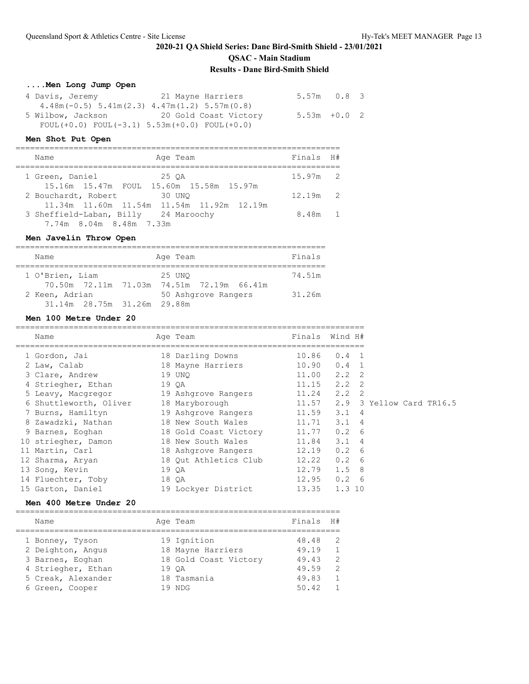**QSAC - Main Stadium**

### **Results - Dane Bird-Smith Shield**

# **....Men Long Jump Open**

| 4 Davis, Jeremy                                              | 21 Mayne Harriers     | $5.57m$ 0.8 3  |  |
|--------------------------------------------------------------|-----------------------|----------------|--|
| $4.48$ m (-0.5) $5.41$ m (2.3) $4.47$ m (1.2) $5.57$ m (0.8) |                       |                |  |
| 5 Wilbow, Jackson                                            | 20 Gold Coast Victory | $5.53m + 0.02$ |  |
| FOUL $(+0.0)$ FOUL $(-3.1)$ 5.53m $(+0.0)$ FOUL $(+0.0)$     |                       |                |  |

### **Men Shot Put Open**

| Age Team<br>Name                                                                                             | Finals H#  |  |
|--------------------------------------------------------------------------------------------------------------|------------|--|
| 1 Green, Daniel<br>25 OA<br>15.16m 15.47m FOUL 15.60m 15.58m 15.97m                                          | $15.97m$ 2 |  |
| 2 Bouchardt, Robert<br>30 UNO                                                                                | $12.19m$ 2 |  |
| 11.34m 11.60m 11.54m 11.54m 11.92m 12.19m<br>3 Sheffield-Laban, Billy 24 Maroochy<br>7.74m 8.04m 8.48m 7.33m | 8.48m 1    |  |

### **Men Javelin Throw Open**

| Name                        |  | Age Team                                  | Finals |  |  |  |  |  |  |
|-----------------------------|--|-------------------------------------------|--------|--|--|--|--|--|--|
|                             |  |                                           |        |  |  |  |  |  |  |
| 1 O'Brien, Liam             |  | 25 UNO                                    | 74.51m |  |  |  |  |  |  |
|                             |  | 70.50m 72.11m 71.03m 74.51m 72.19m 66.41m |        |  |  |  |  |  |  |
| 2 Keen, Adrian              |  | 50 Ashqrove Rangers                       | 31.26m |  |  |  |  |  |  |
| 31.14m 28.75m 31.26m 29.88m |  |                                           |        |  |  |  |  |  |  |

# **Men 100 Metre Under 20**

| Name                   | Age Team              | Finals | Wind H#       |                          |
|------------------------|-----------------------|--------|---------------|--------------------------|
| 1 Gordon, Jai          | 18 Darling Downs      | 10.86  | $0.4 \quad 1$ |                          |
| 2 Law, Calab           | 18 Mayne Harriers     | 10.90  | $0.4 \quad 1$ |                          |
| 3 Clare, Andrew        | 19 UNO                | 11.00  | $2.2 \quad 2$ |                          |
| 4 Striegher, Ethan     | 19 QA                 | 11.15  | $2.2 \quad 2$ |                          |
| 5 Leavy, Macqregor     | 19 Ashgrove Rangers   | 11.24  | $2.2 \quad 2$ |                          |
| 6 Shuttleworth, Oliver | 18 Maryborough        | 11.57  |               | 2.9 3 Yellow Card TR16.5 |
| 7 Burns, Hamiltyn      | 19 Ashqrove Rangers   | 11.59  | $3.1 \quad 4$ |                          |
| 8 Zawadzki, Nathan     | 18 New South Wales    | 11.71  | $3.1 \quad 4$ |                          |
| 9 Barnes, Eoghan       | 18 Gold Coast Victory | 11.77  | $0.2 \quad 6$ |                          |
| 10 striegher, Damon    | 18 New South Wales    | 11.84  | $3.1 \quad 4$ |                          |
| 11 Martin, Carl        | 18 Ashgrove Rangers   | 12.19  | $0.2 \quad 6$ |                          |
| 12 Sharma, Aryan       | 18 Out Athletics Club | 12.22  | $0.2 \quad 6$ |                          |
| 13 Song, Kevin         | 19 QA                 | 12.79  | $1.5$ 8       |                          |
| 14 Fluechter, Toby     | 18 QA                 | 12.95  | $0.2 \quad 6$ |                          |
| 15 Garton, Daniel      | 19 Lockyer District   | 13.35  | 1.310         |                          |

### **Men 400 Metre Under 20**

| Name               | Age Team              | Finals | H#             |
|--------------------|-----------------------|--------|----------------|
| 1 Bonney, Tyson    | 19 Ignition           | 48.48  | - 2            |
| 2 Deighton, Angus  | 18 Mayne Harriers     | 49.19  | $\overline{1}$ |
| 3 Barnes, Eoghan   | 18 Gold Coast Victory | 49.43  | - 2            |
| 4 Striegher, Ethan | 19 OA                 | 49.59  | - 2            |
| 5 Creak, Alexander | 18 Tasmania           | 49.83  | $\overline{1}$ |
| 6 Green, Cooper    | 19 NDG                | 50.42  | $\overline{1}$ |
|                    |                       |        |                |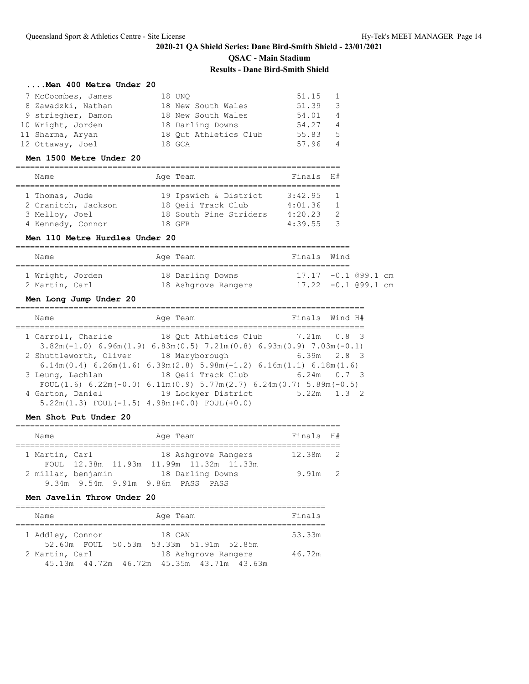### **....Men 400 Metre Under 20**

| 7 McCoombes, James | 18 UNO                | 51.15 | $\blacksquare$ |
|--------------------|-----------------------|-------|----------------|
| 8 Zawadzki, Nathan | 18 New South Wales    | 51.39 | - 3            |
| 9 striegher, Damon | 18 New South Wales    | 54.01 | $\overline{4}$ |
| 10 Wright, Jorden  | 18 Darling Downs      | 54.27 | $\overline{4}$ |
| 11 Sharma, Aryan   | 18 Out Athletics Club | 55.83 | 5              |
| 12 Ottaway, Joel   | 18 GCA                | 57.96 | $\overline{4}$ |

#### **Men 1500 Metre Under 20**

| Name                |  | Age Team               | Finals H# |               |  |  |  |  |  |  |
|---------------------|--|------------------------|-----------|---------------|--|--|--|--|--|--|
|                     |  |                        |           |               |  |  |  |  |  |  |
| 1 Thomas, Jude      |  | 19 Ipswich & District  | 3:42.95   |               |  |  |  |  |  |  |
| 2 Cranitch, Jackson |  | 18 Oeii Track Club     | 4:01.36   | $\mathbf{1}$  |  |  |  |  |  |  |
| 3 Melloy, Joel      |  | 18 South Pine Striders | 4:20.23   | $\mathcal{P}$ |  |  |  |  |  |  |
| 4 Kennedy, Connor   |  | 18 GFR                 | 4:39.55   | $\mathcal{R}$ |  |  |  |  |  |  |

### **Men 110 Metre Hurdles Under 20**

| Name |                                    |  | Age Team                                | Finals Wind                                        |  |  |  |
|------|------------------------------------|--|-----------------------------------------|----------------------------------------------------|--|--|--|
|      | 1 Wright, Jorden<br>2 Martin, Carl |  | 18 Darling Downs<br>18 Ashgrove Rangers | $17.17 - 0.1$ (99.1 cm)<br>$17.22 - 0.1$ (99.1 cm) |  |  |  |

# **Men Long Jump Under 20**

| Name                   | Age Team                                                                                               | Finals Wind H#                    |
|------------------------|--------------------------------------------------------------------------------------------------------|-----------------------------------|
| 1 Carroll, Charlie     |                                                                                                        | 18 Out Athletics Club 7.21m 0.8 3 |
|                        | $3.82$ m $(-1.0)$ 6.96m $(1.9)$ 6.83m $(0.5)$ 7.21m $(0.8)$ 6.93m $(0.9)$ 7.03m $(-0.1)$               |                                   |
| 2 Shuttleworth, Oliver | 18 Maryborough                                                                                         | $6.39m$ $2.8$ 3                   |
|                        | $6.14$ m $(0.4)$ $6.26$ m $(1.6)$ $6.39$ m $(2.8)$ $5.98$ m $(-1.2)$ $6.16$ m $(1.1)$ $6.18$ m $(1.6)$ |                                   |
| 3 Leung, Lachlan       |                                                                                                        | 18 Oeii Track Club 6.24m 0.7 3    |
|                        | FOUL $(1.6)$ 6.22m $(-0.0)$ 6.11m $(0.9)$ 5.77m $(2.7)$ 6.24m $(0.7)$ 5.89m $(-0.5)$                   |                                   |
| 4 Garton, Daniel       | 19 Lockyer District                                                                                    | $5.22m$ $1.3$ 2                   |
|                        | $5.22m(1.3)$ FOUL $(-1.5)$ 4.98m $(+0.0)$ FOUL $(+0.0)$                                                |                                   |

#### **Men Shot Put Under 20**

| Name           |                    | Age Team                                                       | Finals H# |  |
|----------------|--------------------|----------------------------------------------------------------|-----------|--|
| 1 Martin, Carl |                    | 18 Ashgrove Rangers<br>FOUL 12.38m 11.93m 11.99m 11.32m 11.33m | 12.38m 2  |  |
|                | 2 millar, benjamin | 18 Darling Downs<br>9.34m 9.54m 9.91m 9.86m PASS PASS          | $9.91m$ 2 |  |

#### **Men Javelin Throw Under 20**

| Name             | Age Team                                                              | Finals |
|------------------|-----------------------------------------------------------------------|--------|
| 1 Addley, Connor | 18 CAN<br>52.60m FOUL 50.53m 53.33m 51.91m 52.85m                     | 53.33m |
| 2 Martin, Carl   | 18 Ashgrove Rangers<br>45.13m  44.72m  46.72m  45.35m  43.71m  43.63m | 46.72m |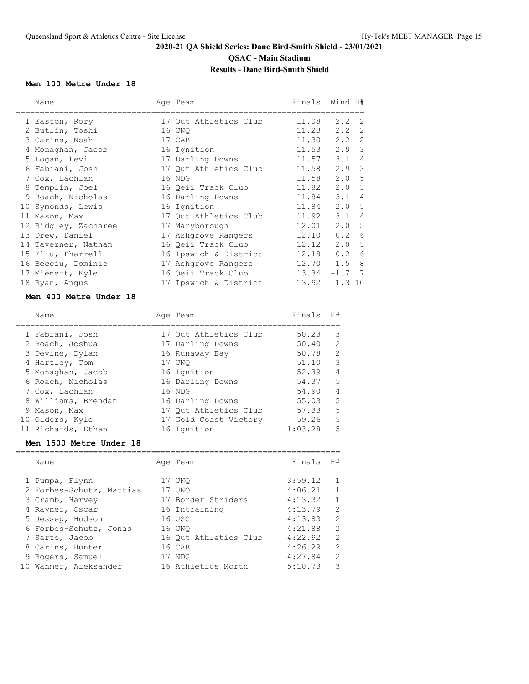### **Men 100 Metre Under 18**

| Name                 | Age Team              | Finals      | Wind H#         |                |
|----------------------|-----------------------|-------------|-----------------|----------------|
| 1 Easton, Rory       | 17 Qut Athletics Club | 11.08       | $2.2 \quad 2$   |                |
| 2 Butlin, Toshi      | 16 UNO                | 11.23       | $2.2 \quad 2$   |                |
| 3 Carins, Noah       | 17 CAB                |             | $11.30$ $2.2$ 2 |                |
| 4 Monaghan, Jacob    | 16 Ignition           |             | $11.53$ $2.9$ 3 |                |
| 5 Logan, Levi        | 17 Darling Downs      | 11.57       | $3.1 \quad 4$   |                |
| 6 Fabiani, Josh      | 17 Qut Athletics Club | 11.58       | 2.9             | 3              |
| 7 Cox, Lachlan       | 16 NDG                | 11.58       | 2.0             | 5              |
| 8 Templin, Joel      | 16 Qeii Track Club    | 11.82       | 2.0             | 5              |
| 9 Roach, Nicholas    | 16 Darling Downs      | 11.84       | $3.1 \quad 4$   |                |
| 10 Symonds, Lewis    | 16 Ignition           | 11.84       | 2.0 5           |                |
| 11 Mason, Max        | 17 Out Athletics Club | 11.92       | 3.1             | $\overline{4}$ |
| 12 Ridgley, Zacharee | 17 Maryborough        | 12.01       | 2.0, 5          |                |
| 13 Drew, Daniel      | 17 Ashqrove Rangers   | 12.10       | 0.2 6           |                |
| 14 Taverner, Nathan  | 16 Qeii Track Club    | 12.12       | 2.0, 5          |                |
| 15 Eliu, Pharrell    | 16 Ipswich & District | 12.18       | 0.2             | 6              |
| 16 Becciu, Dominic   | 17 Ashqrove Rangers   | $12.70$ 1.5 |                 | 8              |
| 17 Mienert, Kyle     | 16 Oeii Track Club    |             | $13.34 -1.7$ 7  |                |
| 18 Ryan, Angus       | 17 Ipswich & District | 13.92       | 1.310           |                |

#### **Men 400 Metre Under 18**

| Name                | Age Team              | Finals  | H#             |
|---------------------|-----------------------|---------|----------------|
| 1 Fabiani, Josh     | 17 Out Athletics Club | 50.23   | 3              |
| 2 Roach, Joshua     | 17 Darling Downs      | 50.40   | 2              |
| 3 Devine, Dylan     | 16 Runaway Bay        | 50.78   | 2              |
| 4 Hartley, Tom      | 17 UNO                | 51.10   | $\mathbf{3}$   |
| 5 Monaghan, Jacob   | 16 Ignition           | 52.39   | $\overline{4}$ |
| 6 Roach, Nicholas   | 16 Darling Downs      | 54.37   | 5              |
| 7 Cox, Lachlan      | 16 NDG                | 54.90   | $\overline{4}$ |
| 8 Williams, Brendan | 16 Darling Downs      | 55.03   | 5              |
| 9 Mason, Max        | 17 Out Athletics Club | 57.33   | 5              |
| 10 Olders, Kyle     | 17 Gold Coast Victory | 59.26   | 5              |
| 11 Richards, Ethan  | 16 Ignition           | 1:03.28 | 5              |

#### **Men 1500 Metre Under 18**

| Name                     | Age Team              | Finals  | H#             |
|--------------------------|-----------------------|---------|----------------|
|                          |                       |         |                |
| 1 Pumpa, Flynn           | 17 UNO                | 3:59.12 | $\mathbf{1}$   |
| 2 Forbes-Schutz, Mattias | 17 UNO                | 4:06.21 | $\mathbf{1}$   |
| 3 Cramb, Harvey          | 17 Border Striders    | 4:13.32 | $\overline{1}$ |
| 4 Rayner, Oscar          | 16 Intraining         | 4:13.79 | $\mathcal{L}$  |
| 5 Jessep, Hudson         | 16 USC                | 4:13.83 | $\mathcal{L}$  |
| 6 Forbes-Schutz, Jonas   | 16 UNO                | 4:21.88 | $\mathcal{L}$  |
| 7 Sarto, Jacob           | 16 Out Athletics Club | 4:22.92 | 2              |
| 8 Carins, Hunter         | 16 CAB                | 4:26.29 | $\mathcal{L}$  |
| 9 Rogers, Samuel         | 17 NDG                | 4:27.84 | 2              |
| 10 Wanmer, Aleksander    | 16 Athletics North    | 5:10.73 | २              |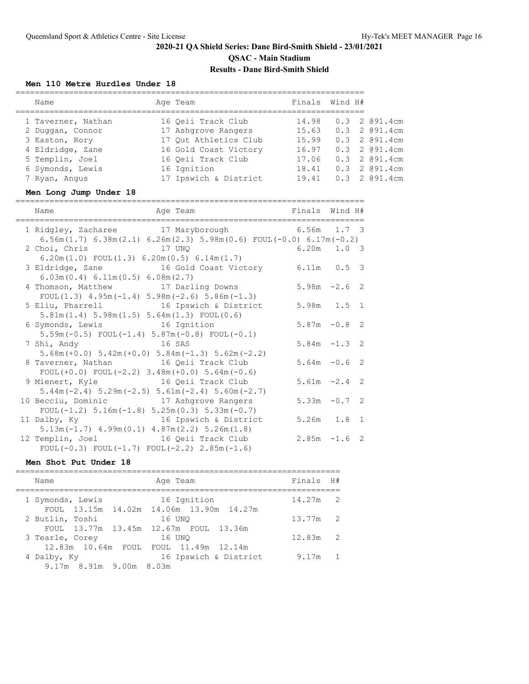### **Men 110 Metre Hurdles Under 18**

|                                                             | ========                                                                       | ---------------- |       |                |               |
|-------------------------------------------------------------|--------------------------------------------------------------------------------|------------------|-------|----------------|---------------|
| Name<br>------------------------------------                | Age Team<br>________________________________                                   | Finals Wind H#   |       |                |               |
| 1 Taverner, Nathan                                          | 16 Qeii Track Club                                                             | 14.98            | 0.3   |                | 2 @91.4cm     |
| 2 Duggan, Connor                                            | 17 Ashgrove Rangers                                                            | 15.63            |       |                | 0.3 2 @91.4cm |
| 3 Easton, Rory                                              | 17 Qut Athletics Club                                                          | 15.99            |       |                | 0.3 2 @91.4cm |
| 4 Eldridge, Zane                                            | 16 Gold Coast Victory 16.97                                                    |                  |       |                | 0.3 2 @91.4cm |
| 5 Templin, Joel                                             | 16 Qeii Track Club 17.06                                                       |                  |       |                | 0.3 2 091.4cm |
| 6 Symonds, Lewis                                            | 16 Ignition                                                                    | 18.41            |       |                | 0.3 2 091.4cm |
| 7 Ryan, Angus                                               | 17 Ipswich & District 19.41                                                    |                  |       |                | 0.3 2 @91.4cm |
| Men Long Jump Under 18                                      |                                                                                |                  |       |                |               |
| Name                                                        | Age Team and Tinals Wind H#                                                    |                  |       |                |               |
| 1 Ridgley, Zacharee 17 Maryborough 6.56m 1.7 3              |                                                                                |                  |       |                |               |
|                                                             | $6.56m(1.7)$ $6.38m(2.1)$ $6.26m(2.3)$ $5.98m(0.6)$ $FOUT(-0.0)$ $6.17m(-0.2)$ |                  |       |                |               |
| 2 Choi, Chris                                               | 17 UNO                                                                         | 6.20m            | 1.0 3 |                |               |
| $6.20m(1.0)$ FOUL $(1.3)$ $6.20m(0.5)$ $6.14m(1.7)$         |                                                                                |                  |       |                |               |
| 3 Eldridge, Zane 16 Gold Coast Victory 6.11m                |                                                                                |                  | 0.5   | 3              |               |
| 6.03m(0.4) 6.11m(0.5) 6.08m(2.7)                            |                                                                                |                  |       |                |               |
| 4 Thomson, Matthew 17 Darling Downs                         |                                                                                | $5.98m -2.6$     |       | 2              |               |
| FOUL $(1.3)$ 4.95m $(-1.4)$ 5.98m $(-2.6)$ 5.86m $(-1.3)$   |                                                                                |                  |       |                |               |
| 5 Eliu, Pharrell 16 Ipswich & District                      |                                                                                | 5.98m            | 1.5   | 1              |               |
| $5.81m(1.4) 5.98m(1.5) 5.64m(1.3) FOUL(0.6)$                |                                                                                |                  |       |                |               |
| 6 Symonds, Lewis 16 Ignition                                |                                                                                | $5.87m - 0.8$    |       | 2              |               |
| $5.59m(-0.5)$ FOUL $(-1.4)$ $5.87m(-0.8)$ FOUL $(-0.1)$     |                                                                                |                  |       |                |               |
| 7 Shi, Andy 16 SAS                                          |                                                                                | $5.84m - 1.3$    |       | 2              |               |
| $5.68m (+0.0) 5.42m (+0.0) 5.84m (-1.3) 5.62m (-2.2)$       |                                                                                |                  |       |                |               |
| 8 Taverner, Nathan 16 Qeii Track Club                       |                                                                                | $5.64m - 0.6$    |       | 2              |               |
| FOUL $(+0.0)$ FOUL $(-2.2)$ 3.48m $(+0.0)$ 5.64m $(-0.6)$   |                                                                                |                  |       |                |               |
| 9 Mienert, Kyle 16 Qeii Track Club                          |                                                                                | $5.61m - 2.4$    |       | 2              |               |
| $5.44m(-2.4)$ $5.29m(-2.5)$ $5.61m(-2.4)$ $5.60m(-2.7)$     |                                                                                |                  |       |                |               |
| 10 Becciu, Dominic 17 Ashgrove Rangers                      |                                                                                | $5.33m -0.7$     |       | 2              |               |
| FOUL $(-1.2)$ 5.16m $(-1.8)$ 5.25m $(0.3)$ 5.33m $(-0.7)$   |                                                                                |                  |       |                |               |
| 11 Dalby, Ky 16 Ipswich & District                          |                                                                                | $5.26m$ 1.8      |       | $\overline{1}$ |               |
| $5.13m(-1.7)$ $4.99m(0.1)$ $4.87m(2.2)$ $5.26m(1.8)$        |                                                                                |                  |       |                |               |
| 12 Templin, Joel 16 Qeii Track Club                         |                                                                                | $2.85m - 1.6$    |       | 2              |               |
| FOUL $(-0.3)$ FOUL $(-1.7)$ FOUL $(-2.2)$ $2.85$ m $(-1.6)$ |                                                                                |                  |       |                |               |

#### **Men Shot Put Under 18**

| Name                                                        | Age Team              | Finals H#  |                |
|-------------------------------------------------------------|-----------------------|------------|----------------|
| 1 Symonds, Lewis<br>FOUL 13.15m 14.02m 14.06m 13.90m 14.27m | 16 Ignition           | $14.27m$ 2 |                |
| 2 Butlin, Toshi<br>FOUL 13.77m 13.45m 12.67m FOUL 13.36m    | 16 UNO                | 13.77m     | $\overline{2}$ |
| 3 Tearle, Corey<br>12.83m 10.64m FOUL FOUL 11.49m 12.14m    | 16 UNO                | 12.83m     | $\overline{2}$ |
| 4 Dalby, Ky<br>9.17m 8.91m 9.00m 8.03m                      | 16 Ipswich & District | 9.17m      | $\mathbf{1}$   |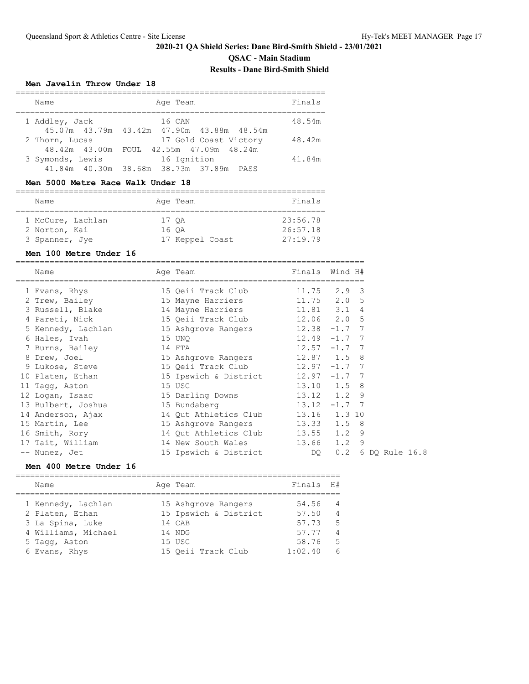**QSAC - Main Stadium**

# **Results - Dane Bird-Smith Shield**

### **Men Javelin Throw Under 18**

| Name             | Age Team                                     | Finals |
|------------------|----------------------------------------------|--------|
| 1 Addley, Jack   | 16 CAN                                       | 48.54m |
|                  | 45.07m 43.79m 43.42m 47.90m 43.88m 48.54m    |        |
| 2 Thorn, Lucas   | 17 Gold Coast Victory                        | 48.42m |
|                  | 48.42m 43.00m FOUL 42.55m 47.09m 48.24m      |        |
| 3 Symonds, Lewis | 16 Ignition                                  | 41.84m |
|                  | 41.84m  40.30m  38.68m  38.73m  37.89m  PASS |        |

#### **Men 5000 Metre Race Walk Under 18**

| Name              |       | Age Team        | Finals   |  |  |  |  |  |  |  |
|-------------------|-------|-----------------|----------|--|--|--|--|--|--|--|
|                   |       |                 |          |  |  |  |  |  |  |  |
| 1 McCure, Lachlan | 17 OA |                 | 23:56.78 |  |  |  |  |  |  |  |
| 2 Norton, Kai     | 16 OA |                 | 26:57.18 |  |  |  |  |  |  |  |
| 3 Spanner, Jye    |       | 17 Keppel Coast | 27:19.79 |  |  |  |  |  |  |  |

#### **Men 100 Metre Under 16**

| Name                                                                                   | Age Team                           | Finals Wind H# |                    |  |  |
|----------------------------------------------------------------------------------------|------------------------------------|----------------|--------------------|--|--|
| 1 Evans, Rhys                       15 Qeii Track Club               11.75     2.9   3 |                                    |                |                    |  |  |
| 2 Trew, Bailey                                                                         |                                    |                |                    |  |  |
| 3 Russell, Blake                                                                       | 14 Mayne Harriers 11.81 3.1 4      |                |                    |  |  |
| 4 Pareti, Nick                                                                         | 15 Qeii Track Club 12.06 2.0 5     |                |                    |  |  |
| 5 Kennedy, Lachlan 15 Ashgrove Rangers 12.38 -1.7 7                                    |                                    |                |                    |  |  |
| 6 Hales, Ivah                                                                          | $12.49 - 1.7$ 7<br>15 UNQ          |                |                    |  |  |
| 7 Burns, Bailey 14 FTA                                                                 | $12.57 - 1.7$ 7                    |                |                    |  |  |
| 8 Drew, Joel                                                                           | 15 Ashgrove Rangers 12.87 1.5 8    |                |                    |  |  |
| 9 Lukose, Steve                                                                        | 15 Qeii Track Club 12.97 -1.7 7    |                |                    |  |  |
| 10 Platen, Ethan                                                                       | 15 Ipswich & District 12.97 -1.7 7 |                |                    |  |  |
| 11 Tagg, Aston                                                                         | 15 USC                             | 13.10 1.5 8    |                    |  |  |
| 12 Logan, Isaac 15 Darling Downs 13.12 1.2 9                                           |                                    |                |                    |  |  |
| 13 Bulbert, Joshua 15 Bundaberg                                                        | $13.12 -1.7$ 7                     |                |                    |  |  |
| 14 Anderson, Ajax                                                                      | 14 Qut Athletics Club 13.16 1.3 10 |                |                    |  |  |
| 15 Martin, Lee                                                                         | 15 Ashgrove Rangers 13.33 1.5 8    |                |                    |  |  |
| 16 Smith, Rory                                                                         | 14 Qut Athletics Club 13.55        |                | $1.2$ 9            |  |  |
| 17 Tait, William                                                                       | 14 New South Wales 13.66 1.2 9     |                |                    |  |  |
| -- Nunez, Jet                                                                          | 15 Ipswich & District DQ           |                | 0.2 6 DQ Rule 16.8 |  |  |

# **Men 400 Metre Under 16**

| Name                | Age Team              | Finals  | H#             |
|---------------------|-----------------------|---------|----------------|
| 1 Kennedy, Lachlan  | 15 Ashgrove Rangers   | 54.56   | $\overline{4}$ |
| 2 Platen, Ethan     | 15 Ipswich & District | 57.50   | $\overline{4}$ |
| 3 La Spina, Luke    | 14 CAB                | 57.73   | -5             |
| 4 Williams, Michael | 14 NDG                | 57.77   | $\overline{4}$ |
| 5 Tagg, Aston       | 15 USC                | 58.76   | -5             |
| 6 Evans, Rhys       | 15 Oeii Track Club    | 1:02.40 | 6              |
|                     |                       |         |                |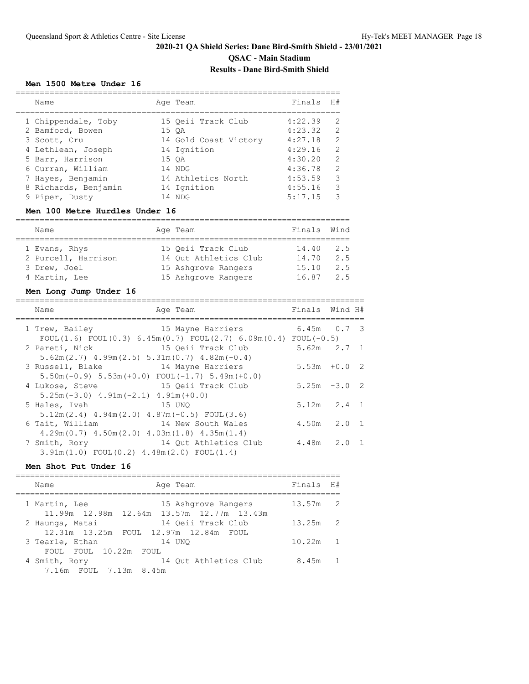# **2020-21 QA Shield Series: Dane Bird-Smith Shield - 23/01/2021 QSAC - Main Stadium**

# **Results - Dane Bird-Smith Shield**

#### **Men 1500 Metre Under 16**

| Name                 | Age Team              | Finals  | H#            |
|----------------------|-----------------------|---------|---------------|
| 1 Chippendale, Toby  | 15 Oeii Track Club    | 4:22.39 |               |
| 2 Bamford, Bowen     | 15 OA                 | 4:23.32 | 2             |
| 3 Scott, Cru         | 14 Gold Coast Victory | 4:27.18 | $\mathcal{D}$ |
| 4 Lethlean, Joseph   | 14 Ignition           | 4:29.16 | $\mathcal{D}$ |
| 5 Barr, Harrison     | 15 OA                 | 4:30.20 | 2             |
| 6 Curran, William    | 14 NDG                | 4:36.78 | $\mathcal{D}$ |
| 7 Hayes, Benjamin    | 14 Athletics North    | 4:53.59 | 3             |
| 8 Richards, Benjamin | 14 Ignition           | 4:55.16 | 3             |
| 9 Piper, Dusty       | 14 NDG                | 5:17.15 | っ             |

### **Men 100 Metre Hurdles Under 16**

| Name                |  | Age Team              | Finals Wind |     |  |  |  |  |  |  |  |
|---------------------|--|-----------------------|-------------|-----|--|--|--|--|--|--|--|
|                     |  |                       |             |     |  |  |  |  |  |  |  |
| 1 Evans, Rhys       |  | 15 Oeii Track Club    | 14.40       | 2.5 |  |  |  |  |  |  |  |
| 2 Purcell, Harrison |  | 14 Out Athletics Club | 14.70       | 2.5 |  |  |  |  |  |  |  |
| 3 Drew, Joel        |  | 15 Ashgrove Rangers   | 15.10       | 2.5 |  |  |  |  |  |  |  |
| 4 Martin, Lee       |  | 15 Ashgrove Rangers   | 16.87       | 25  |  |  |  |  |  |  |  |

#### **Men Long Jump Under 16**

| Name<br>Age Team                                                                                             | Finals Wind H#  |  |
|--------------------------------------------------------------------------------------------------------------|-----------------|--|
| 15 Mayne Harriers<br>1 Trew, Bailey<br>FOUL(1.6) FOUL(0.3) 6.45m(0.7) FOUL(2.7) 6.09m(0.4) FOUL(-0.5)        | $6.45m$ 0.7 3   |  |
| 15 Oeii Track Club<br>2 Pareti, Nick<br>$5.62$ m $(2.7)$ $4.99$ m $(2.5)$ $5.31$ m $(0.7)$ $4.82$ m $(-0.4)$ | $5.62m$ $2.7$ 1 |  |
| 14 Mayne Harriers<br>3 Russell, Blake<br>$5.50$ m (-0.9) $5.53$ m (+0.0) FOUL (-1.7) $5.49$ m (+0.0)         | $5.53m + 0.02$  |  |
| 15 Qeii Track Club<br>4 Lukose, Steve<br>$5.25m(-3.0)$ 4.91m $(-2.1)$ 4.91m $(+0.0)$                         | $5.25m -3.02$   |  |
| 15 UNO<br>5 Hales, Ivah<br>$5.12m(2.4)$ 4.94m $(2.0)$ 4.87m $(-0.5)$ FOUL $(3.6)$                            | $5.12m$ $2.4$ 1 |  |
| 6 Tait, William<br>14 New South Wales<br>$4.29m(0.7)$ $4.50m(2.0)$ $4.03m(1.8)$ $4.35m(1.4)$                 | $4.50m$ $2.0$ 1 |  |
| 14 Qut Athletics Club<br>7 Smith, Rory<br>$3.91m(1.0)$ FOUL $(0.2)$ $4.48m(2.0)$ FOUL $(1.4)$                | 4.48m 2.0 1     |  |

### **Men Shot Put Under 16**

| Age Team<br>Name                                                                  | Finals H#  |                |
|-----------------------------------------------------------------------------------|------------|----------------|
| 1 Martin, Lee<br>15 Ashqrove Rangers<br>11.99m 12.98m 12.64m 13.57m 12.77m 13.43m | $13.57m$ 2 |                |
| 14 Oeii Track Club<br>2 Haunga, Matai<br>12.31m 13.25m FOUL 12.97m 12.84m FOUL    | $13.25m$ 2 |                |
| 3 Tearle, Ethan<br>14 UNO<br>FOUL FOUL 10.22m<br>FOUL.                            | 10.22m     | $\overline{1}$ |
| 4 Smith, Rory<br>14 Out Athletics Club<br>7.16m FOUL 7.13m 8.45m                  | 8.45m      | $\overline{1}$ |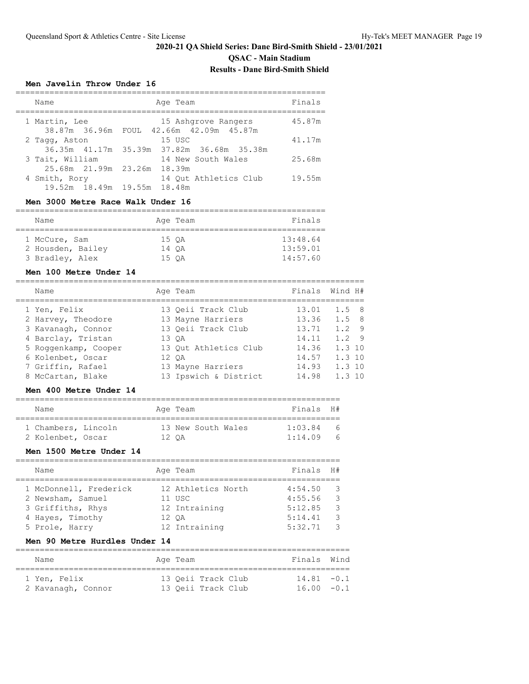**QSAC - Main Stadium**

# **Results - Dane Bird-Smith Shield**

### **Men Javelin Throw Under 16**

| Name            |               | Age Team                                  | Finals |
|-----------------|---------------|-------------------------------------------|--------|
| 1 Martin, Lee   |               | 15 Ashgrove Rangers                       | 45.87m |
|                 | 38.87m 36.96m | FOUL 42.66m 42.09m 45.87m                 |        |
| 2 Tagg, Aston   |               | 15 USC                                    | 41.17m |
|                 |               | 36.35m 41.17m 35.39m 37.82m 36.68m 35.38m |        |
| 3 Tait, William |               | 14 New South Wales                        | 25.68m |
|                 |               | 25.68m 21.99m 23.26m 18.39m               |        |
| 4 Smith, Rory   |               | 14 Out Athletics Club                     | 19.55m |
|                 |               | 19.52m 18.49m 19.55m 18.48m               |        |

### **Men 3000 Metre Race Walk Under 16**

| Name              | Age Team | Finals   |
|-------------------|----------|----------|
| 1 McCure, Sam     | 15 OA    | 13:48.64 |
| 2 Housden, Bailey | 14 OA    | 13:59.01 |
| 3 Bradley, Alex   | 15 OA    | 14:57.60 |

### **Men 100 Metre Under 14**

| Name                 | Age Team              | Finals Wind H# |               |  |
|----------------------|-----------------------|----------------|---------------|--|
| 1 Yen, Felix         | 13 Oeii Track Club    | 13.01          | $1.5 \quad 8$ |  |
| 2 Harvey, Theodore   | 13 Mayne Harriers     | 13.36          | $1.5 \quad 8$ |  |
| 3 Kavanagh, Connor   | 13 Oeii Track Club    | 13.71          | $1.2 \quad 9$ |  |
| 4 Barclay, Tristan   | 13 OA                 | 14.11          | $1.2$ 9       |  |
| 5 Roggenkamp, Cooper | 13 Out Athletics Club | 14.36          | $1.3 \; 10$   |  |
| 6 Kolenbet, Oscar    | 12 OA                 | 14.57          | $1.3 \; 10$   |  |
| 7 Griffin, Rafael    | 13 Mayne Harriers     | 14.93          | $1.3 \; 10$   |  |
| 8 McCartan, Blake    | 13 Ipswich & District | 14.98          | 1.310         |  |

### **Men 400 Metre Under 14**

| Name                |  | Age Team |                    |  | Finals H# |          |
|---------------------|--|----------|--------------------|--|-----------|----------|
| 1 Chambers, Lincoln |  |          | 13 New South Wales |  | 1:03.84   | $\kappa$ |
| 2 Kolenbet, Oscar   |  | 12 OA    |                    |  | 1:14.09   | -6       |

### **Men 1500 Metre Under 14**

| Name                   |  | Finals                                                                              | H#            |
|------------------------|--|-------------------------------------------------------------------------------------|---------------|
|                        |  |                                                                                     |               |
| 1 McDonnell, Frederick |  | 4:54.50                                                                             | $\mathcal{B}$ |
| 2 Newsham, Samuel      |  | 4:55.56                                                                             | $\mathcal{E}$ |
| 3 Griffiths, Rhys      |  | 5:12.85                                                                             | -3            |
| 4 Hayes, Timothy       |  | 5:14.41                                                                             | -3            |
| 5 Prole, Harry         |  | 5:32.71                                                                             | $\mathcal{R}$ |
|                        |  | Age Team<br>12 Athletics North<br>11 USC<br>12 Intraining<br>12 OA<br>12 Intraining |               |

# **Men 90 Metre Hurdles Under 14**

| Name               | Age Team |                    | Finals Wind   |  |
|--------------------|----------|--------------------|---------------|--|
| 1 Yen, Felix       |          | 13 Oeii Track Club | $14.81 - 0.1$ |  |
| 2 Kavanagh, Connor |          | 13 Oeii Track Club | $16.00 - 0.1$ |  |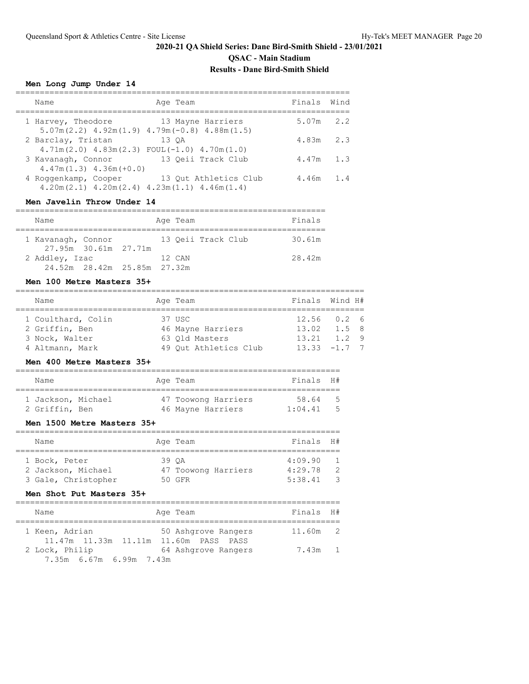**QSAC - Main Stadium**

# **Results - Dane Bird-Smith Shield**

### **Men Long Jump Under 14**

| Name                                                | Age Team                                                                   | Finals | Wind |
|-----------------------------------------------------|----------------------------------------------------------------------------|--------|------|
| 1 Harvey, Theodore                                  | 13 Mayne Harriers                                                          | 5.07m  | 2.2  |
| 2 Barclay, Tristan                                  | $5.07m(2.2)$ 4.92m(1.9) 4.79m(-0.8) 4.88m(1.5)<br>13 OA                    | 4.83m  | 2.3  |
| 3 Kavanagh, Connor                                  | $4.71m(2.0)$ $4.83m(2.3)$ FOUL $(-1.0)$ $4.70m(1.0)$<br>13 Oeii Track Club | 4.47m  | 1.3  |
| $4.47m(1.3)$ $4.36m(+0.0)$<br>4 Roggenkamp, Cooper  | 13 Out Athletics Club                                                      | 4.46m  | 1.4  |
| $4.20m(2.1)$ $4.20m(2.4)$ $4.23m(1.1)$ $4.46m(1.4)$ |                                                                            |        |      |

#### **Men Javelin Throw Under 14**

| Name               |                             |  | Age Team |                    | Finals |
|--------------------|-----------------------------|--|----------|--------------------|--------|
|                    |                             |  |          |                    |        |
| 1 Kavanagh, Connor |                             |  |          | 13 Oeii Track Club | 30.61m |
|                    | 27.95m 30.61m 27.71m        |  |          |                    |        |
| 2 Addley, Izac     |                             |  | 12 CAN   |                    | 28.42m |
|                    | 24.52m 28.42m 25.85m 27.32m |  |          |                    |        |

# **Men 100 Metre Masters 35+**

| Name               | Age Team              | Finals Wind H#            |  |
|--------------------|-----------------------|---------------------------|--|
| 1 Coulthard, Colin | 37 USC                | $12.56$ 0.2 6             |  |
| 2 Griffin, Ben     | 46 Mayne Harriers     | $13.02 \t1.5 \t8$         |  |
| 3 Nock, Walter     | 63 Old Masters        | $13.21 \quad 1.2 \quad 9$ |  |
| 4 Altmann, Mark    | 49 Out Athletics Club | $13.33 -1.7$ 7            |  |

#### **Men 400 Metre Masters 35+**

| Name                                 |  | Age Team                                 | Finals H#        |            |
|--------------------------------------|--|------------------------------------------|------------------|------------|
| 1 Jackson, Michael<br>2 Griffin, Ben |  | 47 Toowong Harriers<br>46 Mayne Harriers | 58.64<br>1:04.41 | - 5<br>- 5 |

### **Men 1500 Metre Masters 35+**

| Name                |       | Age Team            | Finals H# |                |
|---------------------|-------|---------------------|-----------|----------------|
|                     |       |                     |           |                |
| 1 Bock, Peter       | 39 OA |                     | 4:09.90   | $\overline{1}$ |
| 2 Jackson, Michael  |       | 47 Toowong Harriers | 4:29.78   | - 2            |
| 3 Gale, Christopher |       | 50 GFR              | 5:38.41   | - 3            |

### **Men Shot Put Masters 35+**

| Name                                                    | Age Team            | Finals H# |  |
|---------------------------------------------------------|---------------------|-----------|--|
| 1 Keen, Adrian<br>11.47m 11.33m 11.11m 11.60m PASS PASS | 50 Ashgrove Rangers | 11.60m 2  |  |
| 2 Lock, Philip<br>7.35m 6.67m 6.99m 7.43m               | 64 Ashqrove Rangers | 7.43m 1   |  |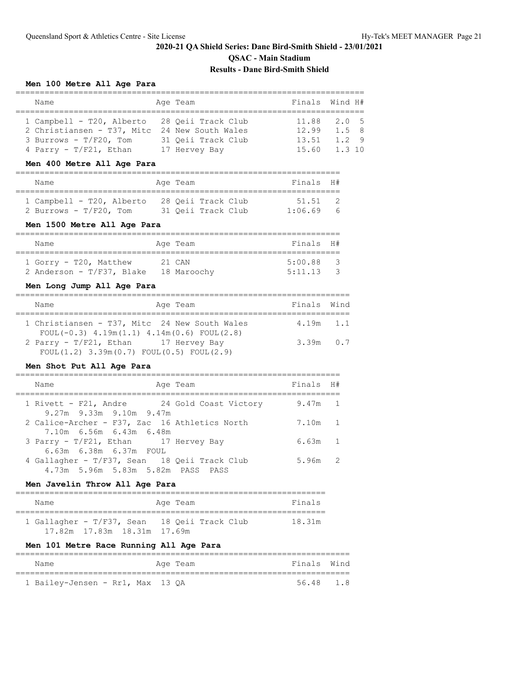#### **Men 100 Metre All Age Para**

| Name                                          | Age Team           | Finals Wind H#  |         |  |
|-----------------------------------------------|--------------------|-----------------|---------|--|
|                                               |                    |                 |         |  |
| 1 Campbell - T20, Alberto 28 Oeii Track Club  |                    | $11.88$ $2.0$ 5 |         |  |
| 2 Christiansen - T37, Mitc 24 New South Wales |                    | $12.99$ $1.5$ 8 |         |  |
| 3 Burrows - $T/F20$ , Tom                     | 31 Oeii Track Club | 13.51           | $1.2$ 9 |  |
| 4 Parry - T/F21, Ethan                        | 17 Hervey Bay      | 15.60 1.3 10    |         |  |

#### **Men 400 Metre All Age Para**

| Name                                                   | Age Team |                                          | Finals H#        |     |
|--------------------------------------------------------|----------|------------------------------------------|------------------|-----|
| 1 Campbell - T20, Alberto<br>2 Burrows - $T/F20$ , Tom |          | 28 Oeii Track Club<br>31 Oeii Track Club | 51.51<br>1:06.69 | - 6 |

### **Men 1500 Metre All Age Para**

| Name                         | Age Team    | Finals H# |                         |
|------------------------------|-------------|-----------|-------------------------|
|                              |             |           |                         |
| 1 Gorry - T20, Matthew       | 21 CAN      | 5:00.88   | $\overline{\mathbf{3}}$ |
| 2 Anderson - $T/F37$ , Blake | 18 Maroochv | 5:11.13   |                         |

# **Men Long Jump All Age Para**

| Name                                                   | Age Team | Finals Wind |  |
|--------------------------------------------------------|----------|-------------|--|
|                                                        |          |             |  |
| 1 Christiansen - T37, Mitc 24 New South Wales          |          | $4.19m$ 1.1 |  |
| FOUL $(-0.3)$ 4.19m $(1.1)$ 4.14m $(0.6)$ FOUL $(2.8)$ |          |             |  |
| 2 Parry - T/F21, Ethan 17 Hervey Bay                   |          | $3.39m$ 0.7 |  |
| FOUL $(1.2)$ 3.39m $(0.7)$ FOUL $(0.5)$ FOUL $(2.9)$   |          |             |  |

### **Men Shot Put All Age Para**

| Name                                                                              | Age Team | Finals H# |  |
|-----------------------------------------------------------------------------------|----------|-----------|--|
| 1 Rivett - F21, Andre 194 Gold Coast Victory<br>9.27m 9.33m 9.10m 9.47m           |          | $9.47m$ 1 |  |
| 2 Calice-Archer - F37, Zac 16 Athletics North<br>7.10m 6.56m 6.43m 6.48m          |          | 7.10m 1   |  |
| 3 Parry - T/F21, Ethan 17 Hervey Bay<br>6.63m 6.38m 6.37m FOUL                    |          | $6.63m$ 1 |  |
| 4 Gallagher - T/F37, Sean 18 Qeii Track Club<br>4.73m 5.96m 5.83m 5.82m PASS PASS |          | $5.96m$ 2 |  |

# **Men Javelin Throw All Age Para**

| Name                                         | Age Team | Finals |  |  |  |  |  |  |  |
|----------------------------------------------|----------|--------|--|--|--|--|--|--|--|
| 1 Gallagher - T/F37, Sean 18 Oeii Track Club |          | 18.31m |  |  |  |  |  |  |  |
|                                              |          |        |  |  |  |  |  |  |  |

# **Men 101 Metre Race Running All Age Para**

|  | Name                             |  |  |  | Age Team | Finals Wind |  |  |  |  |
|--|----------------------------------|--|--|--|----------|-------------|--|--|--|--|
|  |                                  |  |  |  |          |             |  |  |  |  |
|  | 1 Bailey-Jensen - Rr1, Max 13 QA |  |  |  |          | 56.48 1.8   |  |  |  |  |